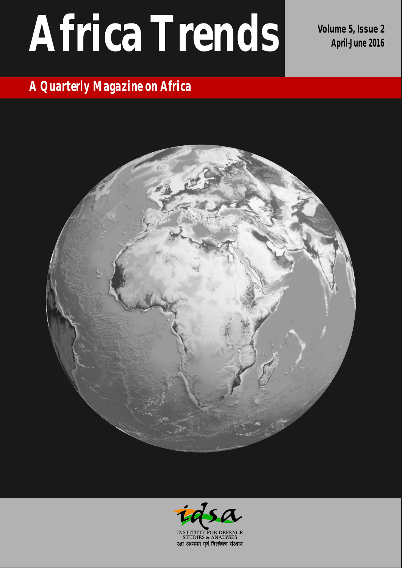# **Volume 5, Issue <sup>2</sup> Africa Trends April-June <sup>2016</sup>**

# *A Quarterly Magazine on Africa*



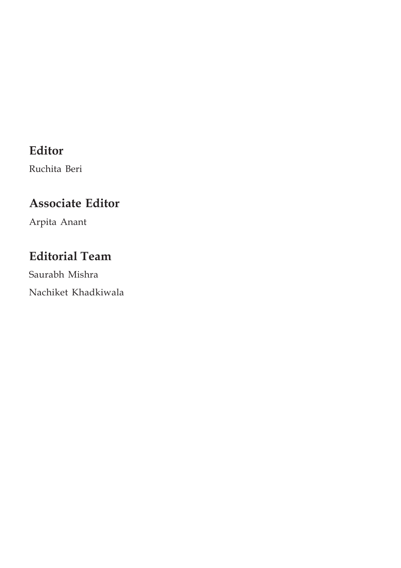# **Editor**

Ruchita Beri

# **Associate Editor**

Arpita Anant

# **Editorial Team**

Saurabh Mishra Nachiket Khadkiwala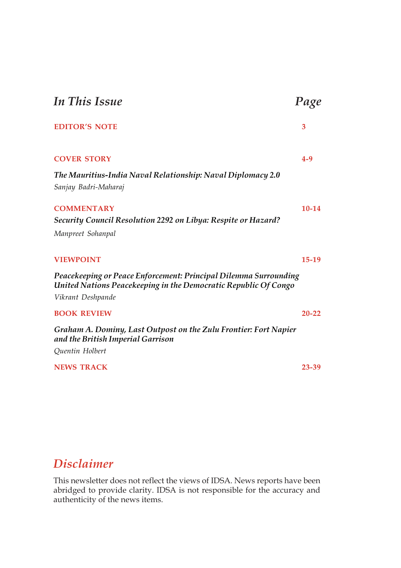| <b>In This Issue</b>                                                                                                                                     | Page      |
|----------------------------------------------------------------------------------------------------------------------------------------------------------|-----------|
| <b>EDITOR'S NOTE</b>                                                                                                                                     | 3         |
| <b>COVER STORY</b>                                                                                                                                       | $4 - 9$   |
| The Mauritius-India Naval Relationship: Naval Diplomacy 2.0<br>Sanjay Badri-Maharaj                                                                      |           |
| <b>COMMENTARY</b><br><b>Security Council Resolution 2292 on Libya: Respite or Hazard?</b>                                                                | 10-14     |
| Manpreet Sohanpal                                                                                                                                        |           |
| <b>VIEWPOINT</b>                                                                                                                                         | $15-19$   |
| Peacekeeping or Peace Enforcement: Principal Dilemma Surrounding<br>United Nations Peacekeeping in the Democratic Republic Of Congo<br>Vikrant Deshpande |           |
| <b>BOOK REVIEW</b>                                                                                                                                       | $20 - 22$ |
| Graham A. Dominy, Last Outpost on the Zulu Frontier: Fort Napier<br>and the British Imperial Garrison                                                    |           |
| Quentin Holbert                                                                                                                                          |           |
| <b>NEWS TRACK</b>                                                                                                                                        | 23-39     |

# *Disclaimer*

This newsletter does not reflect the views of IDSA. News reports have been abridged to provide clarity. IDSA is not responsible for the accuracy and authenticity of the news items.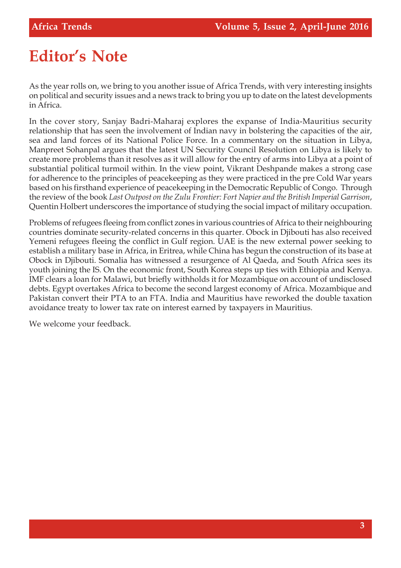# **Editor's Note**

As the year rolls on, we bring to you another issue of Africa Trends, with very interesting insights on political and security issues and a news track to bring you up to date on the latest developments in Africa.

In the cover story, Sanjay Badri-Maharaj explores the expanse of India-Mauritius security relationship that has seen the involvement of Indian navy in bolstering the capacities of the air, sea and land forces of its National Police Force. In a commentary on the situation in Libya, Manpreet Sohanpal argues that the latest UN Security Council Resolution on Libya is likely to create more problems than it resolves as it will allow for the entry of arms into Libya at a point of substantial political turmoil within. In the view point, Vikrant Deshpande makes a strong case for adherence to the principles of peacekeeping as they were practiced in the pre Cold War years based on his firsthand experience of peacekeeping in the Democratic Republic of Congo. Through the review of the book *Last Outpost on the Zulu Frontier: Fort Napier and the British Imperial Garrison*, Quentin Holbert underscores the importance of studying the social impact of military occupation.

Problems of refugees fleeing from conflict zones in various countries of Africa to their neighbouring countries dominate security-related concerns in this quarter. Obock in Djibouti has also received Yemeni refugees fleeing the conflict in Gulf region. UAE is the new external power seeking to establish a military base in Africa, in Eritrea, while China has begun the construction of its base at Obock in Djibouti. Somalia has witnessed a resurgence of Al Qaeda, and South Africa sees its youth joining the IS. On the economic front, South Korea steps up ties with Ethiopia and Kenya. IMF clears a loan for Malawi, but briefly withholds it for Mozambique on account of undisclosed debts. Egypt overtakes Africa to become the second largest economy of Africa. Mozambique and Pakistan convert their PTA to an FTA. India and Mauritius have reworked the double taxation avoidance treaty to lower tax rate on interest earned by taxpayers in Mauritius.

We welcome your feedback.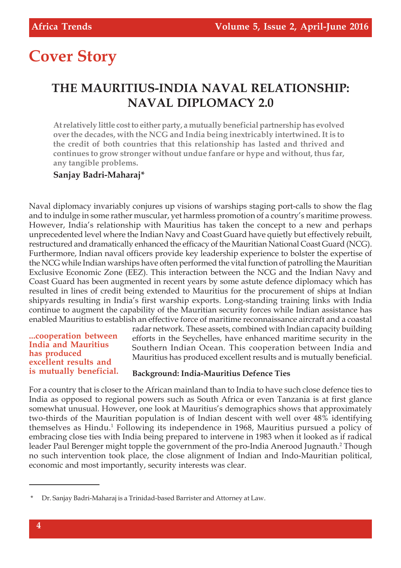# **Cover Story**

# **THE MAURITIUS-INDIA NAVAL RELATIONSHIP: NAVAL DIPLOMACY 2.0**

**At relatively little cost to either party, a mutually beneficial partnership has evolved over the decades, with the NCG and India being inextricably intertwined. It is to the credit of both countries that this relationship has lasted and thrived and continues to grow stronger without undue fanfare or hype and without, thus far, any tangible problems.**

#### **Sanjay Badri-Maharaj\***

Naval diplomacy invariably conjures up visions of warships staging port-calls to show the flag and to indulge in some rather muscular, yet harmless promotion of a country's maritime prowess. However, India's relationship with Mauritius has taken the concept to a new and perhaps unprecedented level where the Indian Navy and Coast Guard have quietly but effectively rebuilt, restructured and dramatically enhanced the efficacy of the Mauritian National Coast Guard (NCG). Furthermore, Indian naval officers provide key leadership experience to bolster the expertise of the NCG while Indian warships have often performed the vital function of patrolling the Mauritian Exclusive Economic Zone (EEZ). This interaction between the NCG and the Indian Navy and Coast Guard has been augmented in recent years by some astute defence diplomacy which has resulted in lines of credit being extended to Mauritius for the procurement of ships at Indian shipyards resulting in India's first warship exports. Long-standing training links with India continue to augment the capability of the Mauritian security forces while Indian assistance has enabled Mauritius to establish an effective force of maritime reconnaissance aircraft and a coastal

#### **...cooperation between India and Mauritius has produced excellent results and is mutually beneficial.**

radar network. These assets, combined with Indian capacity building efforts in the Seychelles, have enhanced maritime security in the Southern Indian Ocean. This cooperation between India and Mauritius has produced excellent results and is mutually beneficial.

#### **Background: India-Mauritius Defence Ties**

For a country that is closer to the African mainland than to India to have such close defence ties to India as opposed to regional powers such as South Africa or even Tanzania is at first glance somewhat unusual. However, one look at Mauritius's demographics shows that approximately two-thirds of the Mauritian population is of Indian descent with well over 48% identifying themselves as Hindu.<sup>1</sup> Following its independence in 1968, Mauritius pursued a policy of embracing close ties with India being prepared to intervene in 1983 when it looked as if radical leader Paul Berenger might topple the government of the pro-India Anerood Jugnauth.<sup>2</sup> Though no such intervention took place, the close alignment of Indian and Indo-Mauritian political, economic and most importantly, security interests was clear.

<sup>\*</sup> Dr. Sanjay Badri-Maharaj is a Trinidad-based Barrister and Attorney at Law.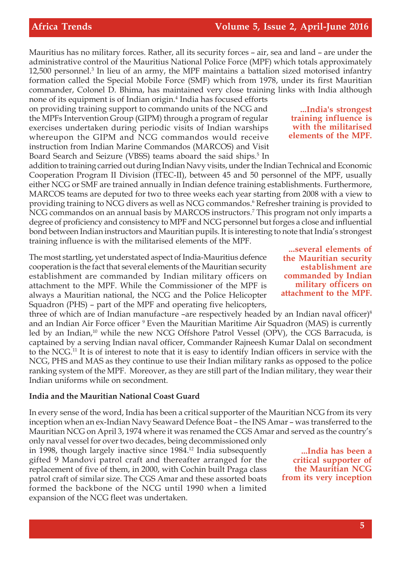Mauritius has no military forces. Rather, all its security forces – air, sea and land – are under the administrative control of the Mauritius National Police Force (MPF) which totals approximately 12,500 personnel.<sup>3</sup> In lieu of an army, the MPF maintains a battalion sized motorised infantry formation called the Special Mobile Force (SMF) which from 1978, under its first Mauritian commander, Colonel D. Bhima, has maintained very close training links with India although

none of its equipment is of Indian origin.<sup>4</sup> India has focused efforts on providing training support to commando units of the NCG and the MPFs Intervention Group (GIPM) through a program of regular exercises undertaken during periodic visits of Indian warships whereupon the GIPM and NCG commandos would receive instruction from Indian Marine Commandos (MARCOS) and Visit Board Search and Seizure (VBSS) teams aboard the said ships.<sup>5</sup> In

addition to training carried out during Indian Navy visits, under the Indian Technical and Economic Cooperation Program II Division (ITEC-II), between 45 and 50 personnel of the MPF, usually either NCG or SMF are trained annually in Indian defence training establishments. Furthermore, MARCOS teams are deputed for two to three weeks each year starting from 2008 with a view to providing training to NCG divers as well as NCG commandos.<sup>6</sup> Refresher training is provided to NCG commandos on an annual basis by MARCOS instructors.<sup>7</sup> This program not only imparts a degree of proficiency and consistency to MPF and NCG personnel but forges a close and influential bond between Indian instructors and Mauritian pupils. It is interesting to note that India's strongest training influence is with the militarised elements of the MPF.

The most startling, yet understated aspect of India-Mauritius defence cooperation is the fact that several elements of the Mauritian security establishment are commanded by Indian military officers on attachment to the MPF. While the Commissioner of the MPF is always a Mauritian national, the NCG and the Police Helicopter Squadron (PHS) – part of the MPF and operating five helicopters,

three of which are of Indian manufacture –are respectively headed by an Indian naval officer)<sup>8</sup> and an Indian Air Force officer <sup>9</sup> Even the Mauritian Maritime Air Squadron (MAS) is currently led by an Indian,<sup>10</sup> while the new NCG Offshore Patrol Vessel (OPV), the CGS Barracuda, is captained by a serving Indian naval officer, Commander Rajneesh Kumar Dalal on secondment to the NCG.<sup>11</sup> It is of interest to note that it is easy to identify Indian officers in service with the NCG, PHS and MAS as they continue to use their Indian military ranks as opposed to the police ranking system of the MPF. Moreover, as they are still part of the Indian military, they wear their Indian uniforms while on secondment.

#### **India and the Mauritian National Coast Guard**

In every sense of the word, India has been a critical supporter of the Mauritian NCG from its very inception when an ex-Indian Navy Seaward Defence Boat – the INS Amar – was transferred to the Mauritian NCG on April 3, 1974 where it was renamed the CGS Amar and served as the country's

only naval vessel for over two decades, being decommissioned only in 1998, though largely inactive since 1984.<sup>12</sup> India subsequently gifted 9 Mandovi patrol craft and thereafter arranged for the replacement of five of them, in 2000, with Cochin built Praga class patrol craft of similar size. The CGS Amar and these assorted boats formed the backbone of the NCG until 1990 when a limited expansion of the NCG fleet was undertaken.

**...India's strongest training influence is with the militarised elements of the MPF.**

**...several elements of the Mauritian security establishment are commanded by Indian military officers on attachment to the MPF.**

**...India has been a critical supporter of the Mauritian NCG from its very inception**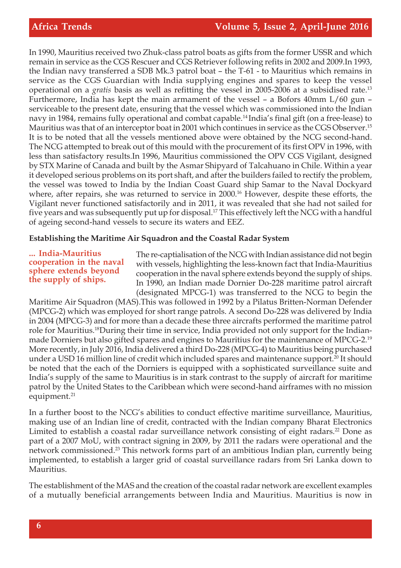In 1990, Mauritius received two Zhuk-class patrol boats as gifts from the former USSR and which remain in service as the CGS Rescuer and CGS Retriever following refits in 2002 and 2009.In 1993, the Indian navy transferred a SDB Mk.3 patrol boat – the T-61 - to Mauritius which remains in service as the CGS Guardian with India supplying engines and spares to keep the vessel operational on a *gratis* basis as well as refitting the vessel in 2005-2006 at a subsidised rate.<sup>13</sup> Furthermore, India has kept the main armament of the vessel – a Bofors 40mm L/60 gun – serviceable to the present date, ensuring that the vessel which was commissioned into the Indian navy in 1984, remains fully operational and combat capable.<sup>14</sup>India's final gift (on a free-lease) to Mauritius was that of an interceptor boat in 2001 which continues in service as the CGS Observer.<sup>15</sup> It is to be noted that all the vessels mentioned above were obtained by the NCG second-hand. The NCG attempted to break out of this mould with the procurement of its first OPV in 1996, with less than satisfactory results.In 1996, Mauritius commissioned the OPV CGS Vigilant, designed by STX Marine of Canada and built by the Asmar Shipyard of Talcahuano in Chile. Within a year it developed serious problems on its port shaft, and after the builders failed to rectify the problem, the vessel was towed to India by the Indian Coast Guard ship Samar to the Naval Dockyard where, after repairs, she was returned to service in 2000.<sup>16</sup> However, despite these efforts, the Vigilant never functioned satisfactorily and in 2011, it was revealed that she had not sailed for five years and was subsequently put up for disposal.<sup>17</sup> This effectively left the NCG with a handful of ageing second-hand vessels to secure its waters and EEZ.

#### **Establishing the Maritime Air Squadron and the Coastal Radar System**

**... India-Mauritius cooperation in the naval sphere extends beyond the supply of ships.**

The re-captialisation of the NCG with Indian assistance did not begin with vessels, highlighting the less-known fact that India-Mauritius cooperation in the naval sphere extends beyond the supply of ships. In 1990, an Indian made Dornier Do-228 maritime patrol aircraft (designated MPCG-1) was transferred to the NCG to begin the

Maritime Air Squadron (MAS).This was followed in 1992 by a Pilatus Britten-Norman Defender (MPCG-2) which was employed for short range patrols. A second Do-228 was delivered by India in 2004 (MPCG-3) and for more than a decade these three aircrafts performed the maritime patrol role for Mauritius.18During their time in service, India provided not only support for the Indianmade Dorniers but also gifted spares and engines to Mauritius for the maintenance of MPCG-2.<sup>19</sup> More recently, in July 2016, India delivered a third Do-228 (MPCG-4) to Mauritius being purchased under a USD 16 million line of credit which included spares and maintenance support.<sup>20</sup> It should be noted that the each of the Dorniers is equipped with a sophisticated surveillance suite and India's supply of the same to Mauritius is in stark contrast to the supply of aircraft for maritime patrol by the United States to the Caribbean which were second-hand airframes with no mission equipment.<sup>21</sup>

In a further boost to the NCG's abilities to conduct effective maritime surveillance, Mauritius, making use of an Indian line of credit, contracted with the Indian company Bharat Electronics Limited to establish a coastal radar surveillance network consisting of eight radars.<sup>22</sup> Done as part of a 2007 MoU, with contract signing in 2009, by 2011 the radars were operational and the network commissioned.<sup>23</sup> This network forms part of an ambitious Indian plan, currently being implemented, to establish a larger grid of coastal surveillance radars from Sri Lanka down to Mauritius.

The establishment of the MAS and the creation of the coastal radar network are excellent examples of a mutually beneficial arrangements between India and Mauritius. Mauritius is now in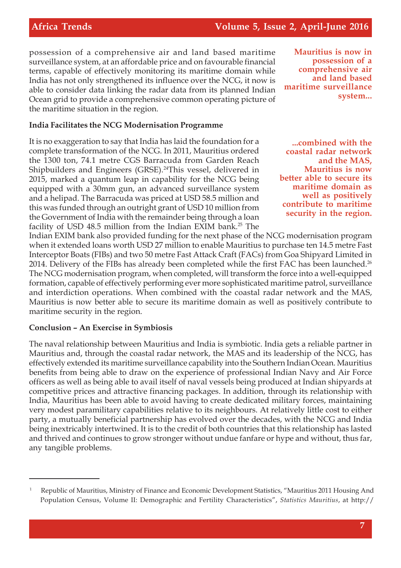possession of a comprehensive air and land based maritime surveillance system, at an affordable price and on favourable financial terms, capable of effectively monitoring its maritime domain while India has not only strengthened its influence over the NCG, it now is able to consider data linking the radar data from its planned Indian Ocean grid to provide a comprehensive common operating picture of the maritime situation in the region.

#### **India Facilitates the NCG Modernisation Programme**

It is no exaggeration to say that India has laid the foundation for a complete transformation of the NCG. In 2011, Mauritius ordered the 1300 ton, 74.1 metre CGS Barracuda from Garden Reach Shipbuilders and Engineers (GRSE).<sup>24</sup>This vessel, delivered in 2015, marked a quantum leap in capability for the NCG being equipped with a 30mm gun, an advanced surveillance system and a helipad. The Barracuda was priced at USD 58.5 million and this was funded through an outright grant of USD 10 million from the Government of India with the remainder being through a loan facility of USD 48.5 million from the Indian EXIM bank.<sup>25</sup> The

Indian EXIM bank also provided funding for the next phase of the NCG modernisation program when it extended loans worth USD 27 million to enable Mauritius to purchase ten 14.5 metre Fast Interceptor Boats (FIBs) and two 50 metre Fast Attack Craft (FACs) from Goa Shipyard Limited in 2014. Delivery of the FIBs has already been completed while the first FAC has been launched.<sup>26</sup> The NCG modernisation program, when completed, will transform the force into a well-equipped formation, capable of effectively performing ever more sophisticated maritime patrol, surveillance and interdiction operations. When combined with the coastal radar network and the MAS, Mauritius is now better able to secure its maritime domain as well as positively contribute to maritime security in the region.

#### **Conclusion – An Exercise in Symbiosis**

The naval relationship between Mauritius and India is symbiotic. India gets a reliable partner in Mauritius and, through the coastal radar network, the MAS and its leadership of the NCG, has effectively extended its maritime surveillance capability into the Southern Indian Ocean. Mauritius benefits from being able to draw on the experience of professional Indian Navy and Air Force officers as well as being able to avail itself of naval vessels being produced at Indian shipyards at competitive prices and attractive financing packages. In addition, through its relationship with India, Mauritius has been able to avoid having to create dedicated military forces, maintaining very modest paramilitary capabilities relative to its neighbours. At relatively little cost to either party, a mutually beneficial partnership has evolved over the decades, with the NCG and India being inextricably intertwined. It is to the credit of both countries that this relationship has lasted and thrived and continues to grow stronger without undue fanfare or hype and without, thus far, any tangible problems.

**Mauritius is now in possession of a comprehensive air and land based maritime surveillance system...**

**...combined with the coastal radar network and the MAS, Mauritius is now better able to secure its maritime domain as well as positively contribute to maritime security in the region.**

<sup>1</sup> Republic of Mauritius, Ministry of Finance and Economic Development Statistics, "Mauritius 2011 Housing And Population Census, Volume II: Demographic and Fertility Characteristics", *Statistics Mauritius*, at http://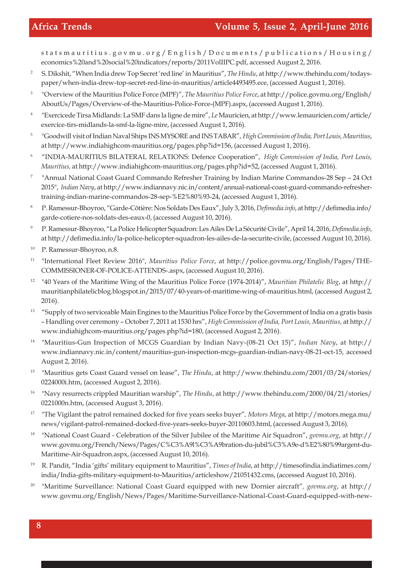statsmauritius.govmu.org/English/Documents/publications/Housing/ economics%20and%20social%20indicators/reports/2011VolIIPC.pdf, accessed August 2, 2016.

- <sup>2</sup> S. Dikshit, "When India drew Top Secret 'red line' in Mauritius", *The Hindu*, at http://www.thehindu.com/todayspaper/when-india-drew-top-secret-red-line-in-mauritius/article4493495.ece, (accessed August 1, 2016).
- 3 "Overview of the Mauritius Police Force (MPF)", *The Mauritius Police Force*, at http://police.govmu.org/English/ AboutUs/Pages/Overview-of-the-Mauritius-Police-Force-(MPF).aspx, (accessed August 1, 2016).
- 4 "Exercicede Tirsa Midlands: La SMF dans la ligne de mire", *Le* Mauricien, at http://www.lemauricien.com/article/ exercice-tirs-midlands-la-smf-la-ligne-mire, (accessed August 1, 2016).
- 5 "Goodwill visit of Indian Naval Ships INS MYSORE and INS TABAR", *High Commission of India, Port Louis, Mauritius*, at http://www.indiahighcom-mauritius.org/pages.php?id=156, (accessed August 1, 2016).
- <sup>6</sup> "INDIA-MAURITIUS BILATERAL RELATIONS: Defence Cooperation", *High Commission of India, Port Louis, Mauritius,* at http://www.indiahighcom-mauritius.org/pages.php?id=52, (accessed August 1, 2016).
- 7 "Annual National Coast Guard Commando Refresher Training by Indian Marine Commandos-28 Sep – 24 Oct 2015", *Indian Navy*, at http://www.indiannavy.nic.in/content/annual-national-coast-guard-commando-refreshertraining-indian-marine-commandos-28-sep-%E2%80%93-24, (accessed August 1, 2016).
- <sup>8</sup> P. Ramessur-Bhoyroo, "Garde-Côtière: Nos Soldats Des Eaux", July 3, 2016, *Defimedia.info*, at http://defimedia.info/ garde-cotiere-nos-soldats-des-eaux-0, (accessed August 10, 2016).
- <sup>9</sup> P. Ramessur-Bhoyroo, "La Police Helicopter Squadron: Les Ailes De La Sécurité Civile", April 14, 2016, *Defimedia.info*, at http://defimedia.info/la-police-helicopter-squadron-les-ailes-de-la-securite-civile, (accessed August 10, 2016).
- <sup>10</sup> P. Ramessur-Bhoyroo, n.8.
- <sup>11</sup> "International Fleet Review 2016", *Mauritius Police Force*, at http://police.govmu.org/English/Pages/THE-COMMISSIONER-OF-POLICE-ATTENDS-.aspx, (accessed August 10, 2016).
- <sup>12</sup> "40 Years of the Maritime Wing of the Mauritius Police Force (1974-2014)", *Mauritian Philatelic Blog*, at http:// mauritianphilatelicblog.blogspot.in/2015/07/40-years-of-maritime-wing-of-mauritius.html, (accessed August 2, 2016).
- <sup>13</sup> "Supply of two serviceable Main Engines to the Mauritius Police Force by the Government of India on a gratis basis – Handling over ceremony – October 7, 2011 at 1530 hrs", *High Commission of India, Port Louis, Mauritius,* at http:// www.indiahighcom-mauritius.org/pages.php?id=180, (accessed August 2, 2016).
- <sup>14</sup> "Mauritius-Gun Inspection of MCGS Guardian by Indian Navy-(08-21 Oct 15)", *Indian Navy*, at http:// www.indiannavy.nic.in/content/mauritius-gun-inspection-mcgs-guardian-indian-navy-08-21-oct-15, accessed August 2, 2016).
- <sup>15</sup> "Mauritius gets Coast Guard vessel on lease", *The Hindu*, at http://www.thehindu.com/2001/03/24/stories/ 0224000i.htm, (accessed August 2, 2016).
- <sup>16</sup> "Navy resurrects crippled Mauritian warship", *The Hindu*, at http://www.thehindu.com/2000/04/21/stories/ 0221000n.htm, (accessed August 3, 2016).
- 17 "The Vigilant the patrol remained docked for five years seeks buyer"*, Motors Mega*, at http://motors.mega.mu/ news/vigilant-patrol-remained-docked-five-years-seeks-buyer-20110603.html, (accessed August 3, 2016).
- <sup>18</sup> "National Coast Guard Celebration of the Silver Jubilee of the Maritime Air Squadron", *govmu.org*, at http:// www.govmu.org/French/News/Pages/C%C3%A9l%C3%A9bration-du-jubil%C3%A9e-d%E2%80%99argent-du-Maritime-Air-Squadron.aspx, (accessed August 10, 2016).
- <sup>19</sup> R. Pandit, "India 'gifts' military equipment to Mauritius", *Times of India*, at http://timesofindia.indiatimes.com/ india/India-gifts-military-equipment-to-Mauritius/articleshow/21051432.cms, (accessed August 10, 2016).
- <sup>20</sup> "Maritime Surveillance: National Coast Guard equipped with new Dornier aircraft"*, govmu.org*, at http:// www.govmu.org/English/News/Pages/Maritime-Surveillance-National-Coast-Guard-equipped-with-new-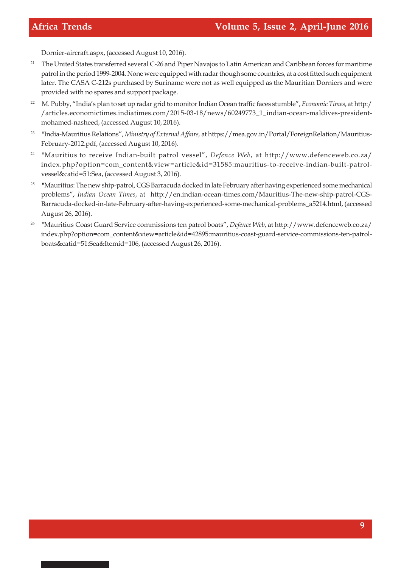Dornier-aircraft.aspx, (accessed August 10, 2016).

- <sup>21</sup> The United States transferred several C-26 and Piper Navajos to Latin American and Caribbean forces for maritime patrol in the period 1999-2004. None were equipped with radar though some countries, at a cost fitted such equipment later. The CASA C-212s purchased by Suriname were not as well equipped as the Mauritian Dorniers and were provided with no spares and support package.
- <sup>22</sup> M. Pubby, "India's plan to set up radar grid to monitor Indian Ocean traffic faces stumble", *Economic Times*, at http:/ /articles.economictimes.indiatimes.com/2015-03-18/news/60249773\_1\_indian-ocean-maldives-presidentmohamed-nasheed, (accessed August 10, 2016).
- <sup>23</sup> "India-Mauritius Relations", *Ministry of External Affairs*, at https://mea.gov.in/Portal/ForeignRelation/Mauritius-February-2012.pdf, (accessed August 10, 2016).
- <sup>24</sup> "Mauritius to receive Indian-built patrol vessel", Defence Web, at http://www.defenceweb.co.za/ index.php?option=com\_content&view=article&id=31585:mauritius-to-receive-indian-built-patrolvessel&catid=51:Sea, (accessed August 3, 2016).
- 25 **"**Mauritius: The new ship-patrol, CGS Barracuda docked in late February after having experienced some mechanical problems"*, Indian Ocean Times*, at http://en.indian-ocean-times.com/Mauritius-The-new-ship-patrol-CGS-Barracuda-docked-in-late-February-after-having-experienced-some-mechanical-problems\_a5214.html, (accessed August 26, 2016).
- <sup>26</sup> "Mauritius Coast Guard Service commissions ten patrol boats", *Defence Web*, at http://www.defenceweb.co.za/ index.php?option=com\_content&view=article&id=42895:mauritius-coast-guard-service-commissions-ten-patrolboats&catid=51:Sea&Itemid=106, (accessed August 26, 2016).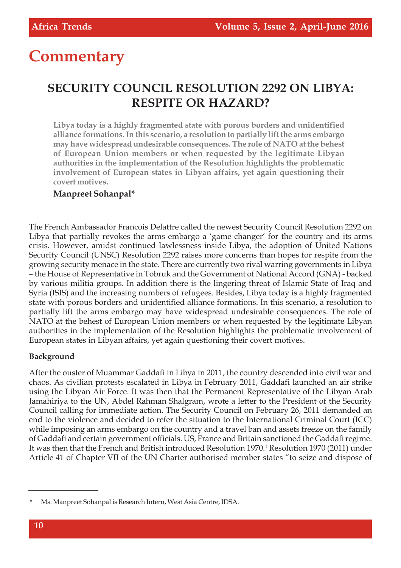# **Commentary**

# **SECURITY COUNCIL RESOLUTION 2292 ON LIBYA: RESPITE OR HAZARD?**

**Libya today is a highly fragmented state with porous borders and unidentified alliance formations. In this scenario, a resolution to partially lift the arms embargo may have widespread undesirable consequences. The role of NATO at the behest of European Union members or when requested by the legitimate Libyan authorities in the implementation of the Resolution highlights the problematic involvement of European states in Libyan affairs, yet again questioning their covert motives.**

#### **Manpreet Sohanpal\***

The French Ambassador Francois Delattre called the newest Security Council Resolution 2292 on Libya that partially revokes the arms embargo a 'game changer' for the country and its arms crisis. However, amidst continued lawlessness inside Libya, the adoption of United Nations Security Council (UNSC) Resolution 2292 raises more concerns than hopes for respite from the growing security menace in the state. There are currently two rival warring governments in Libya – the House of Representative in Tobruk and the Government of National Accord (GNA) - backed by various militia groups. In addition there is the lingering threat of Islamic State of Iraq and Syria (ISIS) and the increasing numbers of refugees. Besides, Libya today is a highly fragmented state with porous borders and unidentified alliance formations. In this scenario, a resolution to partially lift the arms embargo may have widespread undesirable consequences. The role of NATO at the behest of European Union members or when requested by the legitimate Libyan authorities in the implementation of the Resolution highlights the problematic involvement of European states in Libyan affairs, yet again questioning their covert motives.

#### **Background**

After the ouster of Muammar Gaddafi in Libya in 2011, the country descended into civil war and chaos. As civilian protests escalated in Libya in February 2011, Gaddafi launched an air strike using the Libyan Air Force. It was then that the Permanent Representative of the Libyan Arab Jamahiriya to the UN, Abdel Rahman Shalgram, wrote a letter to the President of the Security Council calling for immediate action. The Security Council on February 26, 2011 demanded an end to the violence and decided to refer the situation to the International Criminal Court (ICC) while imposing an arms embargo on the country and a travel ban and assets freeze on the family of Gaddafi and certain government officials. US, France and Britain sanctioned the Gaddafi regime. It was then that the French and British introduced Resolution 1970.<sup>1</sup> Resolution 1970 (2011) under Article 41 of Chapter VII of the UN Charter authorised member states "to seize and dispose of

Ms. Manpreet Sohanpal is Research Intern, West Asia Centre, IDSA.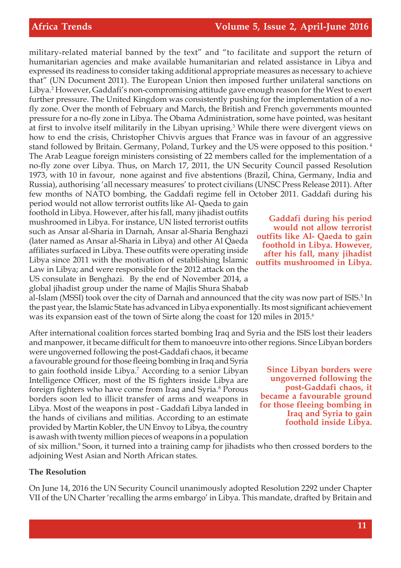military-related material banned by the text" and "to facilitate and support the return of humanitarian agencies and make available humanitarian and related assistance in Libya and expressed its readiness to consider taking additional appropriate measures as necessary to achieve that" (UN Document 2011). The European Union then imposed further unilateral sanctions on Libya.<sup>2</sup> However, Gaddafi's non-compromising attitude gave enough reason for the West to exert further pressure. The United Kingdom was consistently pushing for the implementation of a nofly zone. Over the month of February and March, the British and French governments mounted pressure for a no-fly zone in Libya. The Obama Administration, some have pointed, was hesitant at first to involve itself militarily in the Libyan uprising.<sup>3</sup> While there were divergent views on how to end the crisis, Christopher Chivvis argues that France was in favour of an aggressive stand followed by Britain. Germany, Poland, Turkey and the US were opposed to this position.<sup>4</sup> The Arab League foreign ministers consisting of 22 members called for the implementation of a no-fly zone over Libya. Thus, on March 17, 2011, the UN Security Council passed Resolution 1973, with 10 in favour, none against and five abstentions (Brazil, China, Germany, India and Russia), authorising 'all necessary measures' to protect civilians (UNSC Press Release 2011). After few months of NATO bombing, the Gaddafi regime fell in October 2011. Gaddafi during his

period would not allow terrorist outfits like Al- Qaeda to gain foothold in Libya. However, after his fall, many jihadist outfits mushroomed in Libya. For instance, UN listed terrorist outfits such as Ansar al-Sharia in Darnah, Ansar al-Sharia Benghazi (later named as Ansar al-Sharia in Libya) and other Al Qaeda affiliates surfaced in Libya. These outfits were operating inside Libya since 2011 with the motivation of establishing Islamic Law in Libya; and were responsible for the 2012 attack on the US consulate in Benghazi. By the end of November 2014, a global jihadist group under the name of Majlis Shura Shabab

**Gaddafi during his period would not allow terrorist outfits like Al- Qaeda to gain foothold in Libya. However, after his fall, many jihadist outfits mushroomed in Libya.**

al-Islam (MSSI) took over the city of Darnah and announced that the city was now part of ISIS.<sup>5</sup> In the past year, the Islamic State has advanced in Libya exponentially. Its most significant achievement was its expansion east of the town of Sirte along the coast for 120 miles in 2015.<sup>6</sup>

After international coalition forces started bombing Iraq and Syria and the ISIS lost their leaders and manpower, it became difficult for them to manoeuvre into other regions. Since Libyan borders were ungoverned following the post-Gaddafi chaos, it became

a favourable ground for those fleeing bombing in Iraq and Syria to gain foothold inside Libya.<sup>7</sup> According to a senior Libyan Intelligence Officer, most of the IS fighters inside Libya are foreign fighters who have come from Iraq and Syria.<sup>8</sup> Porous borders soon led to illicit transfer of arms and weapons in Libya. Most of the weapons in post - Gaddafi Libya landed in the hands of civilians and militias. According to an estimate provided by Martin Kobler, the UN Envoy to Libya, the country is awash with twenty million pieces of weapons in a population

**Since Libyan borders were ungoverned following the post-Gaddafi chaos, it became a favourable ground for those fleeing bombing in Iraq and Syria to gain foothold inside Libya.**

of six million.<sup>9</sup> Soon, it turned into a training camp for jihadists who then crossed borders to the adjoining West Asian and North African states.

#### **The Resolution**

On June 14, 2016 the UN Security Council unanimously adopted Resolution 2292 under Chapter VII of the UN Charter 'recalling the arms embargo' in Libya. This mandate, drafted by Britain and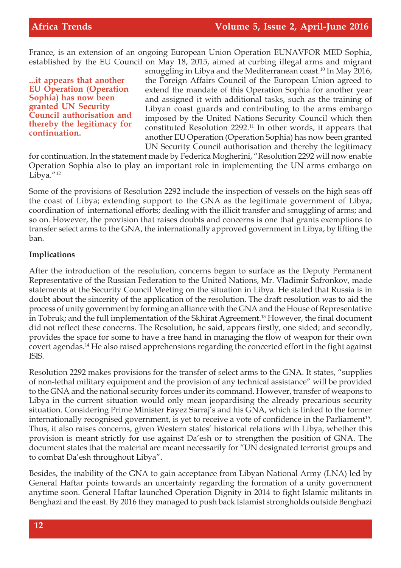France, is an extension of an ongoing European Union Operation EUNAVFOR MED Sophia, established by the EU Council on May 18, 2015, aimed at curbing illegal arms and migrant

**...it appears that another EU Operation (Operation Sophia) has now been granted UN Security Council authorisation and thereby the legitimacy for continuation.**

smuggling in Libya and the Mediterranean coast.<sup>10</sup> In May 2016, the Foreign Affairs Council of the European Union agreed to extend the mandate of this Operation Sophia for another year and assigned it with additional tasks, such as the training of Libyan coast guards and contributing to the arms embargo imposed by the United Nations Security Council which then constituted Resolution 2292.<sup>11</sup> In other words, it appears that another EU Operation (Operation Sophia) has now been granted UN Security Council authorisation and thereby the legitimacy

for continuation. In the statement made by Federica Mogherini, "Resolution 2292 will now enable Operation Sophia also to play an important role in implementing the UN arms embargo on Libya."<sup>12</sup>

Some of the provisions of Resolution 2292 include the inspection of vessels on the high seas off the coast of Libya; extending support to the GNA as the legitimate government of Libya; coordination of international efforts; dealing with the illicit transfer and smuggling of arms; and so on. However, the provision that raises doubts and concerns is one that grants exemptions to transfer select arms to the GNA, the internationally approved government in Libya, by lifting the ban.

#### **Implications**

After the introduction of the resolution, concerns began to surface as the Deputy Permanent Representative of the Russian Federation to the United Nations, Mr. Vladimir Safronkov, made statements at the Security Council Meeting on the situation in Libya. He stated that Russia is in doubt about the sincerity of the application of the resolution. The draft resolution was to aid the process of unity government by forming an alliance with the GNA and the House of Representative in Tobruk; and the full implementation of the Skhirat Agreement.<sup>13</sup> However, the final document did not reflect these concerns. The Resolution, he said, appears firstly, one sided; and secondly, provides the space for some to have a free hand in managing the flow of weapon for their own covert agendas.<sup>14</sup> He also raised apprehensions regarding the concerted effort in the fight against ISIS.

Resolution 2292 makes provisions for the transfer of select arms to the GNA. It states, "supplies of non-lethal military equipment and the provision of any technical assistance" will be provided to the GNA and the national security forces under its command. However, transfer of weapons to Libya in the current situation would only mean jeopardising the already precarious security situation. Considering Prime Minister Fayez Sarraj's and his GNA, which is linked to the former internationally recognised government, is yet to receive a vote of confidence in the Parliament $^{15}$ . Thus, it also raises concerns, given Western states' historical relations with Libya, whether this provision is meant strictly for use against Da'esh or to strengthen the position of GNA. The document states that the material are meant necessarily for "UN designated terrorist groups and to combat Da'esh throughout Libya".

Besides, the inability of the GNA to gain acceptance from Libyan National Army (LNA) led by General Haftar points towards an uncertainty regarding the formation of a unity government anytime soon. General Haftar launched Operation Dignity in 2014 to fight Islamic militants in Benghazi and the east. By 2016 they managed to push back Islamist strongholds outside Benghazi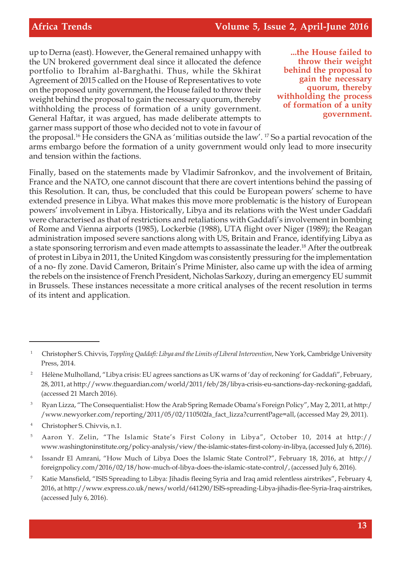up to Derna (east). However, the General remained unhappy with the UN brokered government deal since it allocated the defence portfolio to Ibrahim al-Barghathi. Thus, while the Skhirat Agreement of 2015 called on the House of Representatives to vote on the proposed unity government, the House failed to throw their weight behind the proposal to gain the necessary quorum, thereby withholding the process of formation of a unity government. General Haftar, it was argued, has made deliberate attempts to garner mass support of those who decided not to vote in favour of

**...the House failed to throw their weight behind the proposal to gain the necessary quorum, thereby withholding the process of formation of a unity government.**

the proposal.<sup>16</sup> He considers the GNA as 'militias outside the law'. <sup>17</sup> So a partial revocation of the arms embargo before the formation of a unity government would only lead to more insecurity and tension within the factions.

Finally, based on the statements made by Vladimir Safronkov, and the involvement of Britain, France and the NATO, one cannot discount that there are covert intentions behind the passing of this Resolution. It can, thus, be concluded that this could be European powers' scheme to have extended presence in Libya. What makes this move more problematic is the history of European powers' involvement in Libya. Historically, Libya and its relations with the West under Gaddafi were characterised as that of restrictions and retaliations with Gaddafi's involvement in bombing of Rome and Vienna airports (1985), Lockerbie (1988), UTA flight over Niger (1989); the Reagan administration imposed severe sanctions along with US, Britain and France, identifying Libya as a state sponsoring terrorism and even made attempts to assassinate the leader.<sup>18</sup> After the outbreak of protest in Libya in 2011, the United Kingdom was consistently pressuring for the implementation of a no- fly zone. David Cameron, Britain's Prime Minister, also came up with the idea of arming the rebels on the insistence of French President, Nicholas Sarkozy, during an emergency EU summit in Brussels. These instances necessitate a more critical analyses of the recent resolution in terms of its intent and application.

<sup>3</sup> Ryan Lizza, "The Consequentialist: How the Arab Spring Remade Obama's Foreign Policy", May 2, 2011, at http:/ /www.newyorker.com/reporting/2011/05/02/110502fa\_fact\_lizza?currentPage=all, (accessed May 29, 2011).

<sup>4</sup> Christopher S. Chivvis, n.1.

<sup>1</sup> Christopher S. Chivvis, *Toppling Qaddafi: Libya and the Limits of Liberal Intervention*, New York, Cambridge University Press, 2014.

<sup>&</sup>lt;sup>2</sup> Hélène Mulholland, "Libya crisis: EU agrees sanctions as UK warns of 'day of reckoning' for Gaddafi", February, 28, 2011, at http://www.theguardian.com/world/2011/feb/28/libya-crisis-eu-sanctions-day-reckoning-gaddafi, (accessed 21 March 2016).

<sup>5</sup> Aaron Y. Zelin, "The Islamic State's First Colony in Libya", October 10, 2014 at http:// www.washingtoninstitute.org/policy-analysis/view/the-islamic-states-first-colony-in-libya, (accessed July 6, 2016).

<sup>6</sup> Issandr El Amrani, "How Much of Libya Does the Islamic State Control?", February 18, 2016, at http:// foreignpolicy.com/2016/02/18/how-much-of-libya-does-the-islamic-state-control/, (accessed July 6, 2016).

<sup>&</sup>lt;sup>7</sup> Katie Mansfield, "ISIS Spreading to Libya: Jihadis fleeing Syria and Iraq amid relentless airstrikes", February 4, 2016, at http://www.express.co.uk/news/world/641290/ISIS-spreading-Libya-jihadis-flee-Syria-Iraq-airstrikes, (accessed July 6, 2016).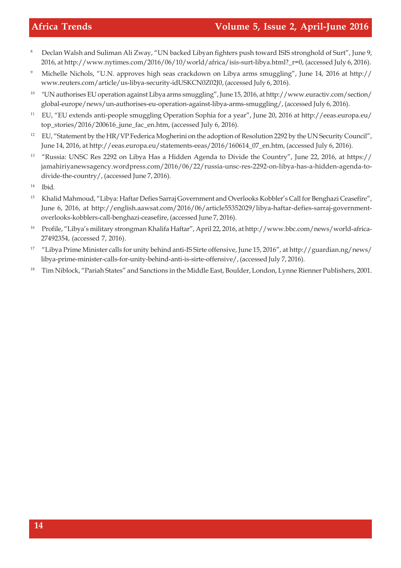- <sup>8</sup> Declan Walsh and Suliman Ali Zway, "UN backed Libyan fighters push toward ISIS stronghold of Surt", June 9, 2016, at http://www.nytimes.com/2016/06/10/world/africa/isis-surt-libya.html?\_r=0, (accessed July 6, 2016).
- <sup>9</sup> Michelle Nichols, "U.N. approves high seas crackdown on Libya arms smuggling", June 14, 2016 at http:// www.reuters.com/article/us-libya-security-idUSKCN0Z02J0, (accessed July 6, 2016).
- <sup>10</sup> "UN authorises EU operation against Libya arms smuggling", June 15, 2016, at http://www.euractiv.com/section/ global-europe/news/un-authorises-eu-operation-against-libya-arms-smuggling/, (accessed July 6, 2016).
- <sup>11</sup> EU, "EU extends anti-people smuggling Operation Sophia for a year", June 20, 2016 at http://eeas.europa.eu/ top\_stories/2016/200616\_june\_fac\_en.htm, (accessed July 6, 2016).
- <sup>12</sup> EU, "Statement by the HR/VP Federica Mogherini on the adoption of Resolution 2292 by the UN Security Council", June 14, 2016, at http://eeas.europa.eu/statements-eeas/2016/160614\_07\_en.htm, (accessed July 6, 2016).
- <sup>13</sup> "Russia: UNSC Res 2292 on Libya Has a Hidden Agenda to Divide the Country", June 22, 2016, at https:// jamahiriyanewsagency.wordpress.com/2016/06/22/russia-unsc-res-2292-on-libya-has-a-hidden-agenda-todivide-the-country/, (accessed June 7, 2016).
- <sup>14</sup> Ibid.
- <sup>15</sup> Khalid Mahmoud, "Libya: Haftar Defies Sarraj Government and Overlooks Kobbler's Call for Benghazi Ceasefire", June 6, 2016, at http://english.aawsat.com/2016/06/article55352029/libya-haftar-defies-sarraj-governmentoverlooks-kobblers-call-benghazi-ceasefire, (accessed June 7, 2016).
- <sup>16</sup> Profile, "Libya's military strongman Khalifa Haftar", April 22, 2016, at http://www.bbc.com/news/world-africa-27492354, (accessed 7, 2016).
- <sup>17</sup> "Libya Prime Minister calls for unity behind anti-IS Sirte offensive, June 15, 2016", at http://guardian.ng/news/ libya-prime-minister-calls-for-unity-behind-anti-is-sirte-offensive/, (accessed July 7, 2016).
- <sup>18</sup> Tim Niblock, "Pariah States" and Sanctions in the Middle East, Boulder, London, Lynne Rienner Publishers, 2001.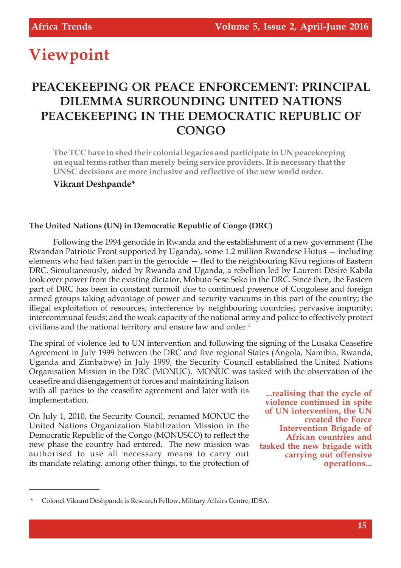# **Viewpoint**

# **PEACEKEEPING OR PEACE ENFORCEMENT: PRINCIPAL DILEMMA SURROUNDING UNITED NATIONS PEACEKEEPING IN THE DEMOCRATIC REPUBLIC OF CONGO**

**The TCC have to shed their colonial legacies and participate in UN peacekeeping on equal terms rather than merely being service providers. It is necessary that the UNSC decisions are more inclusive and reflective of the new world order.**

**Vikrant Deshpande\***

#### **The United Nations (UN) in Democratic Republic of Congo (DRC)**

Following the 1994 genocide in Rwanda and the establishment of a new government (The Rwandan Patriotic Front supported by Uganda), some 1.2 million Rwandese Hutus — including elements who had taken part in the genocide — fled to the neighbouring Kivu regions of Eastern DRC. Simultaneously, aided by Rwanda and Uganda, a rebellion led by Laurent Désiré Kabila took over power from the existing dictator, Mobuto Sese Seko in the DRC. Since then, the Eastern part of DRC has been in constant turmoil due to continued presence of Congolese and foreign armed groups taking advantage of power and security vacuums in this part of the country; the illegal exploitation of resources; interference by neighbouring countries; pervasive impunity; intercommunal feuds; and the weak capacity of the national army and police to effectively protect civilians and the national territory and ensure law and order.<sup>1</sup>

The spiral of violence led to UN intervention and following the signing of the Lusaka Ceasefire Agreement in July 1999 between the DRC and five regional States (Angola, Namibia, Rwanda, Uganda and Zimbabwe) in July 1999, the Security Council established the United Nations Organisation Mission in the DRC (MONUC). MONUC was tasked with the observation of the

ceasefire and disengagement of forces and maintaining liaison with all parties to the ceasefire agreement and later with its implementation.

On July 1, 2010, the Security Council, renamed MONUC the United Nations Organization Stabilization Mission in the Democratic Republic of the Congo (MONUSCO) to reflect the new phase the country had entered. The new mission was authorised to use all necessary means to carry out its mandate relating, among other things, to the protection of

**...realising that the cycle of violence continued in spite of UN intervention, the UN created the Force Intervention Brigade of African countries and tasked the new brigade with carrying out offensive operations...**

<sup>\*</sup> Colonel Vikrant Deshpande is Research Fellow, Military Affairs Centre, IDSA.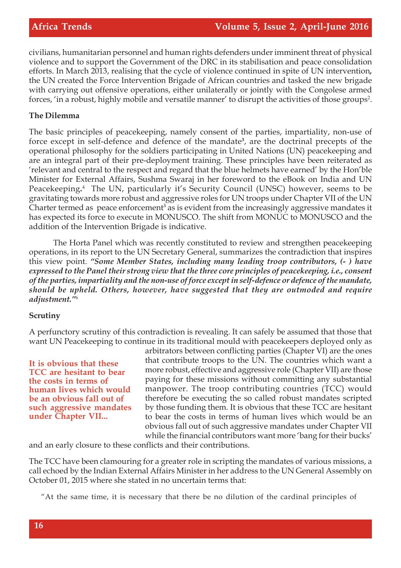civilians, humanitarian personnel and human rights defenders under imminent threat of physical violence and to support the Government of the DRC in its stabilisation and peace consolidation efforts. In March 2013, realising that the cycle of violence continued in spite of UN intervention*,* the UN created the Force Intervention Brigade of African countries and tasked the new brigade with carrying out offensive operations, either unilaterally or jointly with the Congolese armed forces, 'in a robust, highly mobile and versatile manner' to disrupt the activities of those groups<sup>2</sup>.

#### **The Dilemma**

The basic principles of peacekeeping, namely consent of the parties, impartiality, non-use of force except in self-defence and defence of the mandate**<sup>3</sup>** , are the doctrinal precepts of the operational philosophy for the soldiers participating in United Nations (UN) peacekeeping and are an integral part of their pre-deployment training. These principles have been reiterated as 'relevant and central to the respect and regard that the blue helmets have earned' by the Hon'ble Minister for External Affairs, Sushma Swaraj in her foreword to the eBook on India and UN Peacekeeping**.** 4 The UN, particularly it's Security Council (UNSC) however, seems to be gravitating towards more robust and aggressive roles for UN troops under Chapter VII of the UN Charter termed as peace enforcement<sup>5</sup> as is evident from the increasingly aggressive mandates it has expected its force to execute in MONUSCO. The shift from MONUC to MONUSCO and the addition of the Intervention Brigade is indicative.

The Horta Panel which was recently constituted to review and strengthen peacekeeping operations, in its report to the UN Secretary General, summarizes the contradiction that inspires this view point. *"Some Member States, including many leading troop contributors, (- ) have expressed to the Panel their strong view that the three core principles of peacekeeping, i.e., consent of the parties, impartiality and the non-use of force except in self-defence or defence of the mandate, should be upheld. Others, however, have suggested that they are outmoded and require adjustment."*<sup>6</sup>

#### **Scrutiny**

A perfunctory scrutiny of this contradiction is revealing. It can safely be assumed that those that want UN Peacekeeping to continue in its traditional mould with peacekeepers deployed only as

**It is obvious that these TCC are hesitant to bear the costs in terms of human lives which would be an obvious fall out of such aggressive mandates under Chapter VII...**

arbitrators between conflicting parties (Chapter VI) are the ones that contribute troops to the UN. The countries which want a more robust, effective and aggressive role (Chapter VII) are those paying for these missions without committing any substantial manpower. The troop contributing countries (TCC) would therefore be executing the so called robust mandates scripted by those funding them. It is obvious that these TCC are hesitant to bear the costs in terms of human lives which would be an obvious fall out of such aggressive mandates under Chapter VII while the financial contributors want more 'bang for their bucks'

and an early closure to these conflicts and their contributions.

The TCC have been clamouring for a greater role in scripting the mandates of various missions, a call echoed by the Indian External Affairs Minister in her address to the UN General Assembly on October 01, 2015 where she stated in no uncertain terms that:

"At the same time, it is necessary that there be no dilution of the cardinal principles of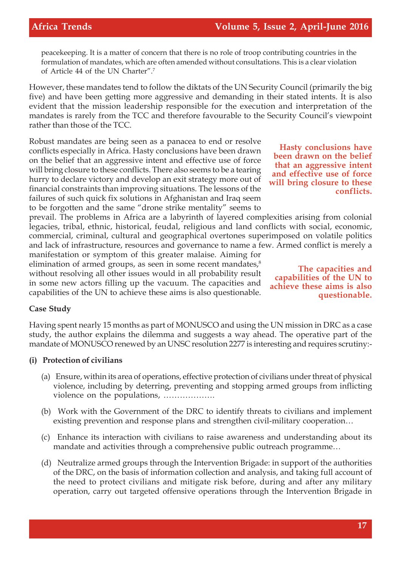peacekeeping. It is a matter of concern that there is no role of troop contributing countries in the formulation of mandates, which are often amended without consultations. This is a clear violation of Article 44 of the UN Charter".<sup>7</sup>

However, these mandates tend to follow the diktats of the UN Security Council (primarily the big five) and have been getting more aggressive and demanding in their stated intents. It is also evident that the mission leadership responsible for the execution and interpretation of the mandates is rarely from the TCC and therefore favourable to the Security Council's viewpoint rather than those of the TCC.

Robust mandates are being seen as a panacea to end or resolve conflicts especially in Africa. Hasty conclusions have been drawn on the belief that an aggressive intent and effective use of force will bring closure to these conflicts. There also seems to be a tearing hurry to declare victory and develop an exit strategy more out of financial constraints than improving situations. The lessons of the failures of such quick fix solutions in Afghanistan and Iraq seem to be forgotten and the same "drone strike mentality" seems to

prevail. The problems in Africa are a labyrinth of layered complexities arising from colonial legacies, tribal, ethnic, historical, feudal, religious and land conflicts with social, economic, commercial, criminal, cultural and geographical overtones superimposed on volatile politics and lack of infrastructure, resources and governance to name a few. Armed conflict is merely a

manifestation or symptom of this greater malaise. Aiming for elimination of armed groups, as seen in some recent mandates, $\delta$ without resolving all other issues would in all probability result in some new actors filling up the vacuum. The capacities and capabilities of the UN to achieve these aims is also questionable.

**Hasty conclusions have been drawn on the belief that an aggressive intent and effective use of force will bring closure to these conflicts.**

**The capacities and capabilities of the UN to achieve these aims is also questionable.**

#### **Case Study**

Having spent nearly 15 months as part of MONUSCO and using the UN mission in DRC as a case study, the author explains the dilemma and suggests a way ahead. The operative part of the mandate of MONUSCO renewed by an UNSC resolution 2277 is interesting and requires scrutiny:-

#### **(i) Protection of civilians**

- (a) Ensure, within its area of operations, effective protection of civilians under threat of physical violence, including by deterring, preventing and stopping armed groups from inflicting violence on the populations, ……………….
- (b) Work with the Government of the DRC to identify threats to civilians and implement existing prevention and response plans and strengthen civil-military cooperation…
- (c) Enhance its interaction with civilians to raise awareness and understanding about its mandate and activities through a comprehensive public outreach programme…
- (d) Neutralize armed groups through the Intervention Brigade: in support of the authorities of the DRC, on the basis of information collection and analysis, and taking full account of the need to protect civilians and mitigate risk before, during and after any military operation, carry out targeted offensive operations through the Intervention Brigade in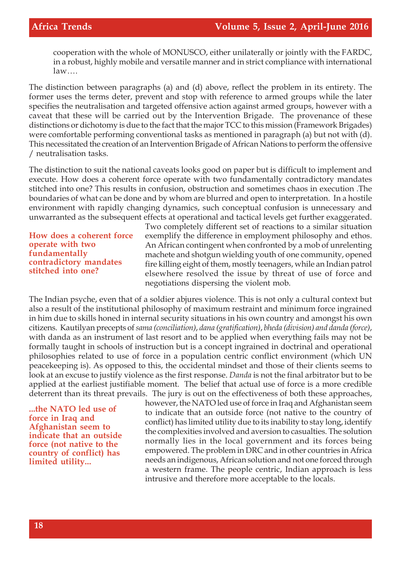cooperation with the whole of MONUSCO, either unilaterally or jointly with the FARDC, in a robust, highly mobile and versatile manner and in strict compliance with international law….

The distinction between paragraphs (a) and (d) above, reflect the problem in its entirety. The former uses the terms deter, prevent and stop with reference to armed groups while the later specifies the neutralisation and targeted offensive action against armed groups, however with a caveat that these will be carried out by the Intervention Brigade. The provenance of these distinctions or dichotomy is due to the fact that the major TCC to this mission (Framework Brigades) were comfortable performing conventional tasks as mentioned in paragraph (a) but not with (d). This necessitated the creation of an Intervention Brigade of African Nations to perform the offensive / neutralisation tasks.

The distinction to suit the national caveats looks good on paper but is difficult to implement and execute. How does a coherent force operate with two fundamentally contradictory mandates stitched into one? This results in confusion, obstruction and sometimes chaos in execution .The boundaries of what can be done and by whom are blurred and open to interpretation. In a hostile environment with rapidly changing dynamics, such conceptual confusion is unnecessary and unwarranted as the subsequent effects at operational and tactical levels get further exaggerated.

**How does a coherent force operate with two fundamentally contradictory mandates stitched into one?**

Two completely different set of reactions to a similar situation exemplify the difference in employment philosophy and ethos. An African contingent when confronted by a mob of unrelenting machete and shotgun wielding youth of one community, opened fire killing eight of them, mostly teenagers, while an Indian patrol elsewhere resolved the issue by threat of use of force and negotiations dispersing the violent mob.

The Indian psyche, even that of a soldier abjures violence. This is not only a cultural context but also a result of the institutional philosophy of maximum restraint and minimum force ingrained in him due to skills honed in internal security situations in his own country and amongst his own citizens. Kautilyan precepts of *sama (conciliation)*, *dana (gratification)*, *bheda (division) and danda (force)*, with danda as an instrument of last resort and to be applied when everything fails may not be formally taught in schools of instruction but is a concept ingrained in doctrinal and operational philosophies related to use of force in a population centric conflict environment (which UN peacekeeping is). As opposed to this, the occidental mindset and those of their clients seems to look at an excuse to justify violence as the first response. *Danda* is not the final arbitrator but to be applied at the earliest justifiable moment. The belief that actual use of force is a more credible deterrent than its threat prevails. The jury is out on the effectiveness of both these approaches,

**...the NATO led use of force in Iraq and Afghanistan seem to indicate that an outside force (not native to the country of conflict) has limited utility...**

however, the NATO led use of force in Iraq and Afghanistan seem to indicate that an outside force (not native to the country of conflict) has limited utility due to its inability to stay long, identify the complexities involved and aversion to casualties. The solution normally lies in the local government and its forces being empowered. The problem in DRC and in other countries in Africa needs an indigenous, African solution and not one forced through a western frame. The people centric, Indian approach is less intrusive and therefore more acceptable to the locals.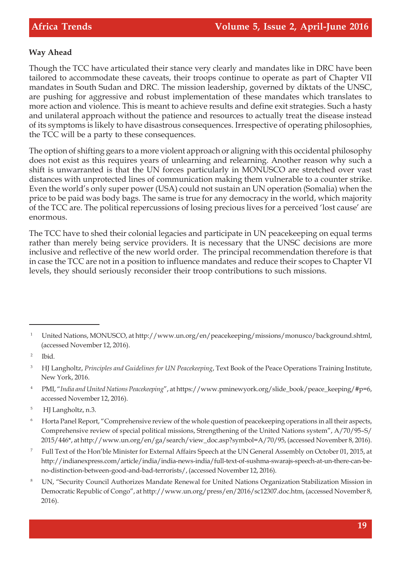#### **Way Ahead**

Though the TCC have articulated their stance very clearly and mandates like in DRC have been tailored to accommodate these caveats, their troops continue to operate as part of Chapter VII mandates in South Sudan and DRC. The mission leadership, governed by diktats of the UNSC, are pushing for aggressive and robust implementation of these mandates which translates to more action and violence. This is meant to achieve results and define exit strategies. Such a hasty and unilateral approach without the patience and resources to actually treat the disease instead of its symptoms is likely to have disastrous consequences. Irrespective of operating philosophies, the TCC will be a party to these consequences.

The option of shifting gears to a more violent approach or aligning with this occidental philosophy does not exist as this requires years of unlearning and relearning. Another reason why such a shift is unwarranted is that the UN forces particularly in MONUSCO are stretched over vast distances with unprotected lines of communication making them vulnerable to a counter strike. Even the world's only super power (USA) could not sustain an UN operation (Somalia) when the price to be paid was body bags. The same is true for any democracy in the world, which majority of the TCC are. The political repercussions of losing precious lives for a perceived 'lost cause' are enormous.

The TCC have to shed their colonial legacies and participate in UN peacekeeping on equal terms rather than merely being service providers. It is necessary that the UNSC decisions are more inclusive and reflective of the new world order. The principal recommendation therefore is that in case the TCC are not in a position to influence mandates and reduce their scopes to Chapter VI levels, they should seriously reconsider their troop contributions to such missions.

- <sup>4</sup> PMI, "India and United Nations Peacekeeping", at https://www.pminewyork.org/slide\_book/peace\_keeping/#p=6, accessed November 12, 2016).
- 5 HJ Langholtz, n.3.

- <sup>7</sup> Full Text of the Hon'ble Minister for External Affairs Speech at the UN General Assembly on October 01, 2015, at http://indianexpress.com/article/india/india-news-india/full-text-of-sushma-swarajs-speech-at-un-there-can-beno-distinction-between-good-and-bad-terrorists/, (accessed November 12, 2016).
- UN, "Security Council Authorizes Mandate Renewal for United Nations Organization Stabilization Mission in Democratic Republic of Congo", at http://www.un.org/press/en/2016/sc12307.doc.htm, (accessed November 8, 2016).

<sup>1</sup> United Nations, MONUSCO, at http://www.un.org/en/peacekeeping/missions/monusco/background.shtml, (accessed November 12, 2016).

<sup>2</sup> Ibid.

<sup>&</sup>lt;sup>3</sup> HJ Langholtz, *Principles and Guidelines for UN Peacekeeping*, Text Book of the Peace Operations Training Institute, New York, 2016.

<sup>&</sup>lt;sup>6</sup> Horta Panel Report, "Comprehensive review of the whole question of peacekeeping operations in all their aspects, Comprehensive review of special political missions, Strengthening of the United Nations system", A/70/95–S/ 2015/446\*, at http://www.un.org/en/ga/search/view\_doc.asp?symbol=A/70/95, (accessed November 8, 2016).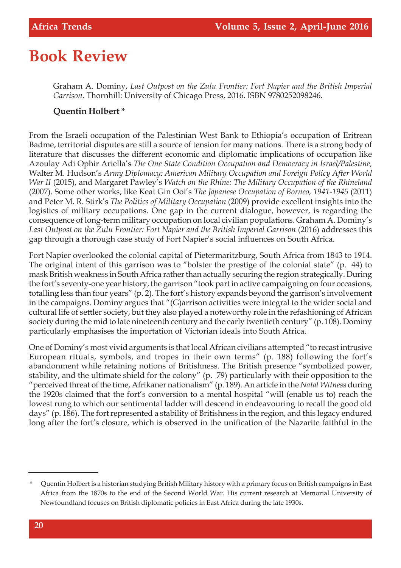# **Book Review**

Graham A. Dominy, *Last Outpost on the Zulu Frontier: Fort Napier and the British Imperial Garrison*. Thornhill: University of Chicago Press, 2016. ISBN 9780252098246.

#### **Quentin Holbert \***

From the Israeli occupation of the Palestinian West Bank to Ethiopia's occupation of Eritrean Badme, territorial disputes are still a source of tension for many nations. There is a strong body of literature that discusses the different economic and diplomatic implications of occupation like Azoulay Adi Ophir Ariella's *The One State Condition Occupation and Democracy in Israel/Palestine,* Walter M. Hudson's *Army Diplomacy: American Military Occupation and Foreign Policy After World War II* (2015), and Margaret Pawley's *Watch on the Rhine: The Military Occupation of the Rhineland* (2007). Some other works, like Keat Gin Ooi's *The Japanese Occupation of Borneo, 1941-1945* (2011) and Peter M. R. Stirk's *The Politics of Military Occupation* (2009) provide excellent insights into the logistics of military occupations. One gap in the current dialogue, however, is regarding the consequence of long-term military occupation on local civilian populations. Graham A. Dominy's *Last Outpost on the Zulu Frontier: Fort Napier and the British Imperial Garrison* (2016) addresses this gap through a thorough case study of Fort Napier's social influences on South Africa.

Fort Napier overlooked the colonial capital of Pietermaritzburg, South Africa from 1843 to 1914. The original intent of this garrison was to "bolster the prestige of the colonial state" (p. 44) to mask British weakness in South Africa rather than actually securing the region strategically. During the fort's seventy-one year history, the garrison "took part in active campaigning on four occasions, totalling less than four years" (p. 2). The fort's history expands beyond the garrison's involvement in the campaigns. Dominy argues that "(G)arrison activities were integral to the wider social and cultural life of settler society, but they also played a noteworthy role in the refashioning of African society during the mid to late nineteenth century and the early twentieth century" (p. 108). Dominy particularly emphasises the importation of Victorian ideals into South Africa.

One of Dominy's most vivid arguments is that local African civilians attempted "to recast intrusive European rituals, symbols, and tropes in their own terms" (p. 188) following the fort's abandonment while retaining notions of Britishness. The British presence "symbolized power, stability, and the ultimate shield for the colony" (p. 79) particularly with their opposition to the "perceived threat of the time, Afrikaner nationalism" (p. 189). An article in the *Natal Witness* during the 1920s claimed that the fort's conversion to a mental hospital "will (enable us to) reach the lowest rung to which our sentimental ladder will descend in endeavouring to recall the good old days" (p. 186). The fort represented a stability of Britishness in the region, and this legacy endured long after the fort's closure, which is observed in the unification of the Nazarite faithful in the

Quentin Holbert is a historian studying British Military history with a primary focus on British campaigns in East Africa from the 1870s to the end of the Second World War. His current research at Memorial University of Newfoundland focuses on British diplomatic policies in East Africa during the late 1930s.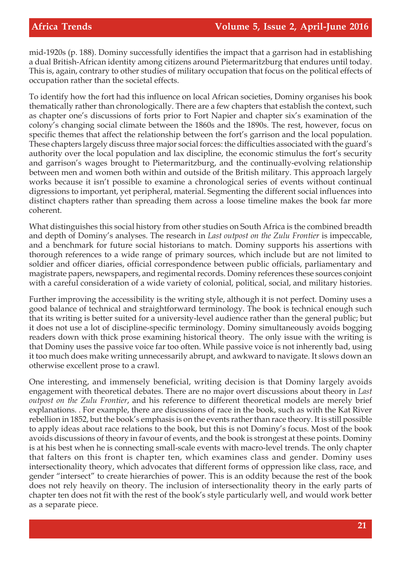mid-1920s (p. 188). Dominy successfully identifies the impact that a garrison had in establishing a dual British-African identity among citizens around Pietermaritzburg that endures until today. This is, again, contrary to other studies of military occupation that focus on the political effects of occupation rather than the societal effects.

To identify how the fort had this influence on local African societies, Dominy organises his book thematically rather than chronologically. There are a few chapters that establish the context, such as chapter one's discussions of forts prior to Fort Napier and chapter six's examination of the colony's changing social climate between the 1860s and the 1890s. The rest, however, focus on specific themes that affect the relationship between the fort's garrison and the local population. These chapters largely discuss three major social forces: the difficulties associated with the guard's authority over the local population and lax discipline, the economic stimulus the fort's security and garrison's wages brought to Pietermaritzburg, and the continually-evolving relationship between men and women both within and outside of the British military. This approach largely works because it isn't possible to examine a chronological series of events without continual digressions to important, yet peripheral, material. Segmenting the different social influences into distinct chapters rather than spreading them across a loose timeline makes the book far more coherent.

What distinguishes this social history from other studies on South Africa is the combined breadth and depth of Dominy's analyses. The research in *Last outpost on the Zulu Frontier* is impeccable, and a benchmark for future social historians to match. Dominy supports his assertions with thorough references to a wide range of primary sources, which include but are not limited to soldier and officer diaries, official correspondence between public officials, parliamentary and magistrate papers, newspapers, and regimental records. Dominy references these sources conjoint with a careful consideration of a wide variety of colonial, political, social, and military histories.

Further improving the accessibility is the writing style, although it is not perfect. Dominy uses a good balance of technical and straightforward terminology. The book is technical enough such that its writing is better suited for a university-level audience rather than the general public; but it does not use a lot of discipline-specific terminology. Dominy simultaneously avoids bogging readers down with thick prose examining historical theory. The only issue with the writing is that Dominy uses the passive voice far too often. While passive voice is not inherently bad, using it too much does make writing unnecessarily abrupt, and awkward to navigate. It slows down an otherwise excellent prose to a crawl.

One interesting, and immensely beneficial, writing decision is that Dominy largely avoids engagement with theoretical debates. There are no major overt discussions about theory in *Last outpost on the Zulu Frontier*, and his reference to different theoretical models are merely brief explanations. . For example, there are discussions of race in the book, such as with the Kat River rebellion in 1852, but the book's emphasis is on the events rather than race theory. It is still possible to apply ideas about race relations to the book, but this is not Dominy's focus. Most of the book avoids discussions of theory in favour of events, and the book is strongest at these points. Dominy is at his best when he is connecting small-scale events with macro-level trends. The only chapter that falters on this front is chapter ten, which examines class and gender. Dominy uses intersectionality theory, which advocates that different forms of oppression like class, race, and gender "intersect" to create hierarchies of power. This is an oddity because the rest of the book does not rely heavily on theory. The inclusion of intersectionality theory in the early parts of chapter ten does not fit with the rest of the book's style particularly well, and would work better as a separate piece.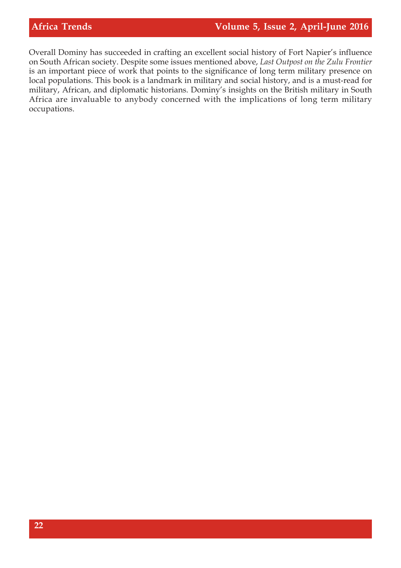Overall Dominy has succeeded in crafting an excellent social history of Fort Napier's influence on South African society. Despite some issues mentioned above, *Last Outpost on the Zulu Frontier* is an important piece of work that points to the significance of long term military presence on local populations. This book is a landmark in military and social history, and is a must-read for military, African, and diplomatic historians. Dominy's insights on the British military in South Africa are invaluable to anybody concerned with the implications of long term military occupations.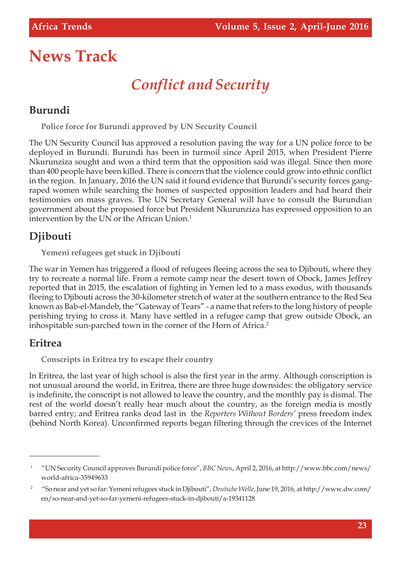# **News Track**

# *Conflict and Security*

#### **Burundi**

**Police force for Burundi approved by UN Security Council**

The UN Security Council has approved a resolution paving the way for a UN police force to be deployed in Burundi. Burundi has been in turmoil since April 2015, when President Pierre Nkurunziza sought and won a third term that the opposition said was illegal. Since then more than 400 people have been killed. There is concern that the violence could grow into ethnic conflict in the region. In January, 2016 the UN said it found evidence that Burundi's security forces gangraped women while searching the homes of suspected opposition leaders and had heard their testimonies on mass graves. The UN Secretary General will have to consult the Burundian government about the proposed force but President Nkurunziza has expressed opposition to an intervention by the UN or the African Union.<sup>1</sup>

#### **Djibouti**

**Yemeni refugees get stuck in Djibouti**

The war in Yemen has triggered a flood of refugees fleeing across the sea to Djibouti, where they try to recreate a normal life. From a remote camp near the desert town of Obock, James Jeffrey reported that in 2015, the escalation of fighting in Yemen led to a mass exodus, with thousands fleeing to Djibouti across the 30-kilometer stretch of water at the southern entrance to the Red Sea known as Bab-el-Mandeb, the "Gateway of Tears" - a name that refers to the long history of people perishing trying to cross it. Many have settled in a refugee camp that grew outside Obock, an inhospitable sun-parched town in the corner of the Horn of Africa.<sup>2</sup>

#### **Eritrea**

**Conscripts in Eritrea try to escape their country**

In Eritrea, the last year of high school is also the first year in the army. Although conscription is not unusual around the world, in Eritrea, there are three huge downsides: the obligatory service is indefinite, the conscript is not allowed to leave the country, and the monthly pay is dismal. The rest of the world doesn't really hear much about the country, as the foreign media is mostly barred entry; and Eritrea ranks dead last in the *Reporters Without Borders'* press freedom index (behind North Korea). Unconfirmed reports began filtering through the crevices of the Internet

<sup>1</sup> "UN Security Council approves Burundi police force", *BBC News*, April 2, 2016, at http://www.bbc.com/news/ world-africa-35949633

<sup>2</sup> "So near and yet so far: Yemeni refugees stuck in Djibouti", *Deutsche Welle*, June 19, 2016, at http://www.dw.com/ en/so-near-and-yet-so-far-yemeni-refugees-stuck-in-djibouti/a-19341128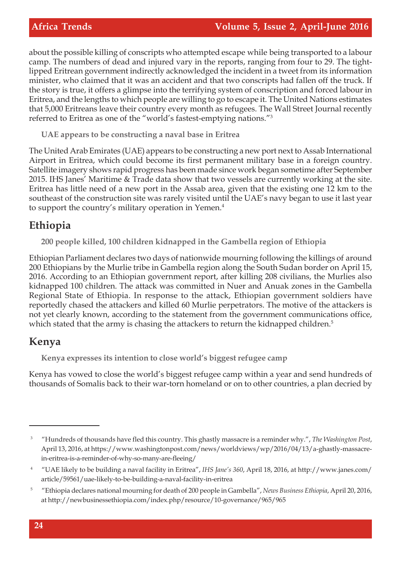about the possible killing of conscripts who attempted escape while being transported to a labour camp. The numbers of dead and injured vary in the reports, ranging from four to 29. The tightlipped Eritrean government indirectly acknowledged the incident in a tweet from its information minister, who claimed that it was an accident and that two conscripts had fallen off the truck. If the story is true, it offers a glimpse into the terrifying system of conscription and forced labour in Eritrea, and the lengths to which people are willing to go to escape it. The United Nations estimates that 5,000 Eritreans leave their country every month as refugees. The Wall Street Journal recently referred to Eritrea as one of the "world's fastest-emptying nations."<sup>3</sup>

**UAE appears to be constructing a naval base in Eritrea**

The United Arab Emirates (UAE) appears to be constructing a new port next to Assab International Airport in Eritrea, which could become its first permanent military base in a foreign country. Satellite imagery shows rapid progress has been made since work began sometime after September 2015. IHS Janes' Maritime & Trade data show that two vessels are currently working at the site. Eritrea has little need of a new port in the Assab area, given that the existing one 12 km to the southeast of the construction site was rarely visited until the UAE's navy began to use it last year to support the country's military operation in Yemen.<sup>4</sup>

#### **Ethiopia**

**200 people killed, 100 children kidnapped in the Gambella region of Ethiopia** 

Ethiopian Parliament declares two days of nationwide mourning following the killings of around 200 Ethiopians by the Murlie tribe in Gambella region along the South Sudan border on April 15, 2016. According to an Ethiopian government report, after killing 208 civilians, the Murlies also kidnapped 100 children. The attack was committed in Nuer and Anuak zones in the Gambella Regional State of Ethiopia. In response to the attack, Ethiopian government soldiers have reportedly chased the attackers and killed 60 Murlie perpetrators. The motive of the attackers is not yet clearly known, according to the statement from the government communications office, which stated that the army is chasing the attackers to return the kidnapped children.<sup>5</sup>

#### **Kenya**

**Kenya expresses its intention to close world's biggest refugee camp**

Kenya has vowed to close the world's biggest refugee camp within a year and send hundreds of thousands of Somalis back to their war-torn homeland or on to other countries, a plan decried by

<sup>3</sup> "Hundreds of thousands have fled this country. This ghastly massacre is a reminder why.", *The Washington Post*, April 13, 2016, at https://www.washingtonpost.com/news/worldviews/wp/2016/04/13/a-ghastly-massacrein-eritrea-is-a-reminder-of-why-so-many-are-fleeing/

<sup>4</sup> "UAE likely to be building a naval facility in Eritrea", *IHS Jane's 360*, April 18, 2016, at http://www.janes.com/ article/59561/uae-likely-to-be-building-a-naval-facility-in-eritrea

<sup>5</sup> "Ethiopia declares national mourning for death of 200 people in Gambella", *News Business Ethiopia*, April 20, 2016, at http://newbusinessethiopia.com/index.php/resource/10-governance/965/965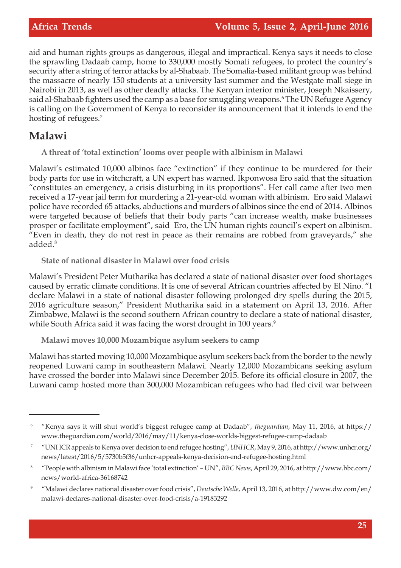aid and human rights groups as dangerous, illegal and impractical. Kenya says it needs to close the sprawling Dadaab camp, home to 330,000 mostly Somali refugees, to protect the country's security after a string of terror attacks by al-Shabaab. The Somalia-based militant group was behind the massacre of nearly 150 students at a university last summer and the Westgate mall siege in Nairobi in 2013, as well as other deadly attacks. The Kenyan interior minister, Joseph Nkaissery, said al-Shabaab fighters used the camp as a base for smuggling weapons.<sup>6</sup> The UN Refugee Agency is calling on the Government of Kenya to reconsider its announcement that it intends to end the hosting of refugees.<sup>7</sup>

#### **Malawi**

**A threat of 'total extinction' looms over people with albinism in Malawi**

Malawi's estimated 10,000 albinos face "extinction" if they continue to be murdered for their body parts for use in witchcraft, a UN expert has warned. Ikponwosa Ero said that the situation "constitutes an emergency, a crisis disturbing in its proportions". Her call came after two men received a 17-year jail term for murdering a 21-year-old woman with albinism. Ero said Malawi police have recorded 65 attacks, abductions and murders of albinos since the end of 2014. Albinos were targeted because of beliefs that their body parts "can increase wealth, make businesses prosper or facilitate employment", said Ero, the UN human rights council's expert on albinism. "Even in death, they do not rest in peace as their remains are robbed from graveyards," she added.<sup>8</sup>

**State of national disaster in Malawi over food crisis**

Malawi's President Peter Mutharika has declared a state of national disaster over food shortages caused by erratic climate conditions. It is one of several African countries affected by El Nino. "I declare Malawi in a state of national disaster following prolonged dry spells during the 2015, 2016 agriculture season," President Mutharika said in a statement on April 13, 2016. After Zimbabwe, Malawi is the second southern African country to declare a state of national disaster, while South Africa said it was facing the worst drought in 100 years.<sup>9</sup>

**Malawi moves 10,000 Mozambique asylum seekers to camp**

Malawi has started moving 10,000 Mozambique asylum seekers back from the border to the newly reopened Luwani camp in southeastern Malawi. Nearly 12,000 Mozambicans seeking asylum have crossed the border into Malawi since December 2015. Before its official closure in 2007, the Luwani camp hosted more than 300,000 Mozambican refugees who had fled civil war between

<sup>6</sup> "Kenya says it will shut world's biggest refugee camp at Dadaab", *theguardian*, May 11, 2016, at https:// www.theguardian.com/world/2016/may/11/kenya-close-worlds-biggest-refugee-camp-dadaab

<sup>7</sup> "UNHCR appeals to Kenya over decision to end refugee hosting", *UNHCR*, May 9, 2016, at http://www.unhcr.org/ news/latest/2016/5/5730b5f36/unhcr-appeals-kenya-decision-end-refugee-hosting.html

<sup>8</sup> "People with albinism in Malawi face 'total extinction' – UN", *BBC News*, April 29, 2016, at http://www.bbc.com/ news/world-africa-36168742

<sup>9</sup> "Malawi declares national disaster over food crisis", *Deutsche Welle*, April 13, 2016, at http://www.dw.com/en/ malawi-declares-national-disaster-over-food-crisis/a-19183292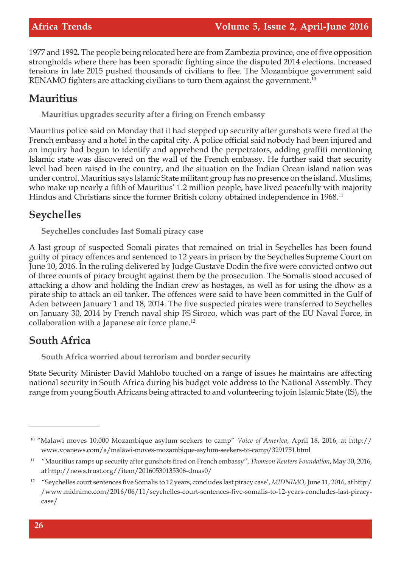1977 and 1992. The people being relocated here are from Zambezia province, one of five opposition strongholds where there has been sporadic fighting since the disputed 2014 elections. Increased tensions in late 2015 pushed thousands of civilians to flee. The Mozambique government said RENAMO fighters are attacking civilians to turn them against the government.<sup>10</sup>

#### **Mauritius**

**Mauritius upgrades security after a firing on French embassy**

Mauritius police said on Monday that it had stepped up security after gunshots were fired at the French embassy and a hotel in the capital city. A police official said nobody had been injured and an inquiry had begun to identify and apprehend the perpetrators, adding graffiti mentioning Islamic state was discovered on the wall of the French embassy. He further said that security level had been raised in the country, and the situation on the Indian Ocean island nation was under control. Mauritius says Islamic State militant group has no presence on the island. Muslims, who make up nearly a fifth of Mauritius' 1.2 million people, have lived peacefully with majority Hindus and Christians since the former British colony obtained independence in 1968.<sup>11</sup>

#### **Seychelles**

**Seychelles concludes last Somali piracy case**

A last group of suspected Somali pirates that remained on trial in Seychelles has been found guilty of piracy offences and sentenced to 12 years in prison by the Seychelles Supreme Court on June 10, 2016. In the ruling delivered by Judge Gustave Dodin the five were convicted ontwo out of three counts of piracy brought against them by the prosecution. The Somalis stood accused of attacking a dhow and holding the Indian crew as hostages, as well as for using the dhow as a pirate ship to attack an oil tanker. The offences were said to have been committed in the Gulf of Aden between January 1 and 18, 2014. The five suspected pirates were transferred to Seychelles on January 30, 2014 by French naval ship FS Siroco, which was part of the EU Naval Force, in collaboration with a Japanese air force plane.<sup>12</sup>

#### **South Africa**

**South Africa worried about terrorism and border security**

State Security Minister David Mahlobo touched on a range of issues he maintains are affecting national security in South Africa during his budget vote address to the National Assembly. They range from young South Africans being attracted to and volunteering to join Islamic State (IS), the

<sup>10</sup> "Malawi moves 10,000 Mozambique asylum seekers to camp" *Voice of America*, April 18, 2016, at http:// www.voanews.com/a/malawi-moves-mozambique-asylum-seekers-to-camp/3291751.html

<sup>11</sup> "Mauritius ramps up security after gunshots fired on French embassy", *Thomson Reuters Foundation*, May 30, 2016, at http://news.trust.org//item/20160530135306-dmas0/

<sup>12</sup> "Seychelles court sentences five Somalis to 12 years, concludes last piracy case', *MIDNIMO*, June 11, 2016, at http:/ /www.midnimo.com/2016/06/11/seychelles-court-sentences-five-somalis-to-12-years-concludes-last-piracycase/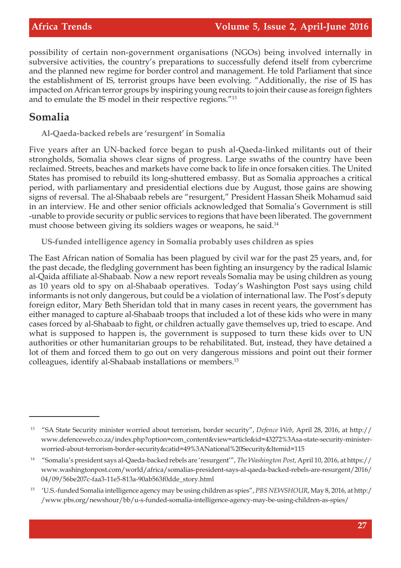possibility of certain non-government organisations (NGOs) being involved internally in subversive activities, the country's preparations to successfully defend itself from cybercrime and the planned new regime for border control and management. He told Parliament that since the establishment of IS, terrorist groups have been evolving. "Additionally, the rise of IS has impacted on African terror groups by inspiring young recruits to join their cause as foreign fighters and to emulate the IS model in their respective regions."<sup>13</sup>

#### **Somalia**

**Al-Qaeda-backed rebels are 'resurgent' in Somalia**

Five years after an UN-backed force began to push al-Qaeda-linked militants out of their strongholds, Somalia shows clear signs of progress. Large swaths of the country have been reclaimed. Streets, beaches and markets have come back to life in once forsaken cities. The United States has promised to rebuild its long-shuttered embassy. But as Somalia approaches a critical period, with parliamentary and presidential elections due by August, those gains are showing signs of reversal. The al-Shabaab rebels are "resurgent," President Hassan Sheik Mohamud said in an interview. He and other senior officials acknowledged that Somalia's Government is still -unable to provide security or public services to regions that have been liberated. The government must choose between giving its soldiers wages or weapons, he said.<sup>14</sup>

**US-funded intelligence agency in Somalia probably uses children as spies**

The East African nation of Somalia has been plagued by civil war for the past 25 years, and, for the past decade, the fledgling government has been fighting an insurgency by the radical Islamic al-Qaida affiliate al-Shabaab. Now a new report reveals Somalia may be using children as young as 10 years old to spy on al-Shabaab operatives. Today's Washington Post says using child informants is not only dangerous, but could be a violation of international law. The Post's deputy foreign editor, Mary Beth Sheridan told that in many cases in recent years, the government has either managed to capture al-Shabaab troops that included a lot of these kids who were in many cases forced by al-Shabaab to fight, or children actually gave themselves up, tried to escape. And what is supposed to happen is, the government is supposed to turn these kids over to UN authorities or other humanitarian groups to be rehabilitated. But, instead, they have detained a lot of them and forced them to go out on very dangerous missions and point out their former colleagues, identify al-Shabaab installations or members.<sup>15</sup>

<sup>13</sup> "SA State Security minister worried about terrorism, border security", *Defence Web*, April 28, 2016, at http:// www.defenceweb.co.za/index.php?option=com\_content&view=article&id=43272%3Asa-state-security-ministerworried-about-terrorism-border-security&catid=49%3ANational%20Security&Itemid=115

<sup>14</sup> "Somalia's president says al-Qaeda-backed rebels are 'resurgent'", *The Washington Post*, April 10, 2016, at https:// www.washingtonpost.com/world/africa/somalias-president-says-al-qaeda-backed-rebels-are-resurgent/2016/ 04/09/56be207c-faa3-11e5-813a-90ab563f0dde\_story.html

<sup>15</sup> 'U.S.-funded Somalia intelligence agency may be using children as spies", *PBS NEWSHOUR*, May 8, 2016, at http:/ /www.pbs.org/newshour/bb/u-s-funded-somalia-intelligence-agency-may-be-using-children-as-spies/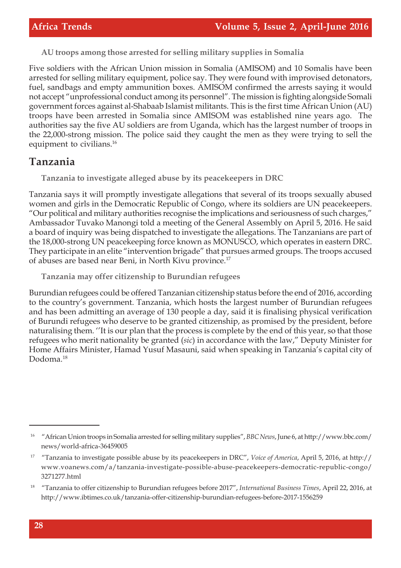**AU troops among those arrested for selling military supplies in Somalia**

Five soldiers with the African Union mission in Somalia (AMISOM) and 10 Somalis have been arrested for selling military equipment, police say. They were found with improvised detonators, fuel, sandbags and empty ammunition boxes. AMISOM confirmed the arrests saying it would not accept "unprofessional conduct among its personnel". The mission is fighting alongside Somali government forces against al-Shabaab Islamist militants. This is the first time African Union (AU) troops have been arrested in Somalia since AMISOM was established nine years ago. The authorities say the five AU soldiers are from Uganda, which has the largest number of troops in the 22,000-strong mission. The police said they caught the men as they were trying to sell the equipment to civilians.<sup>16</sup>

#### **Tanzania**

**Tanzania to investigate alleged abuse by its peacekeepers in DRC**

Tanzania says it will promptly investigate allegations that several of its troops sexually abused women and girls in the Democratic Republic of Congo, where its soldiers are UN peacekeepers. "Our political and military authorities recognise the implications and seriousness of such charges," Ambassador Tuvako Manongi told a meeting of the General Assembly on April 5, 2016. He said a board of inquiry was being dispatched to investigate the allegations. The Tanzanians are part of the 18,000-strong UN peacekeeping force known as MONUSCO, which operates in eastern DRC. They participate in an elite "intervention brigade" that pursues armed groups. The troops accused of abuses are based near Beni, in North Kivu province.<sup>17</sup>

**Tanzania may offer citizenship to Burundian refugees**

Burundian refugees could be offered Tanzanian citizenship status before the end of 2016, according to the country's government. Tanzania, which hosts the largest number of Burundian refugees and has been admitting an average of 130 people a day, said it is finalising physical verification of Burundi refugees who deserve to be granted citizenship, as promised by the president, before naturalising them. ''It is our plan that the process is complete by the end of this year, so that those refugees who merit nationality be granted (*sic*) in accordance with the law," Deputy Minister for Home Affairs Minister, Hamad Yusuf Masauni, said when speaking in Tanzania's capital city of Dodoma.<sup>18</sup>

<sup>16</sup> "African Union troops in Somalia arrested for selling military supplies", *BBC News*, June 6, at http://www.bbc.com/ news/world-africa-36459005

<sup>17</sup> "Tanzania to investigate possible abuse by its peacekeepers in DRC", *Voice of America*, April 5, 2016, at http:// www.voanews.com/a/tanzania-investigate-possible-abuse-peacekeepers-democratic-republic-congo/ 3271277.html

<sup>18</sup> "Tanzania to offer citizenship to Burundian refugees before 2017", *International Business Times*, April 22, 2016, at http://www.ibtimes.co.uk/tanzania-offer-citizenship-burundian-refugees-before-2017-1556259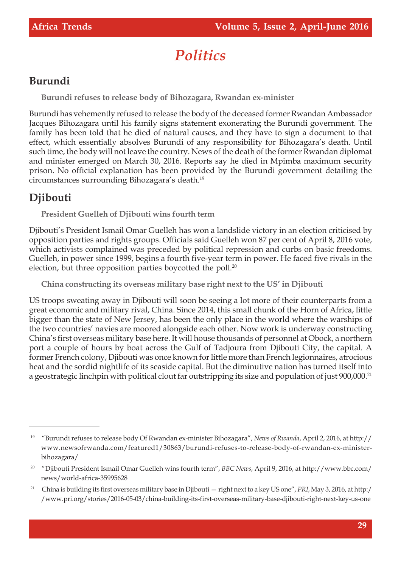# *Politics*

## **Burundi**

**Burundi refuses to release body of Bihozagara, Rwandan ex-minister**

Burundi has vehemently refused to release the body of the deceased former Rwandan Ambassador Jacques Bihozagara until his family signs statement exonerating the Burundi government. The family has been told that he died of natural causes, and they have to sign a document to that effect, which essentially absolves Burundi of any responsibility for Bihozagara's death. Until such time, the body will not leave the country. News of the death of the former Rwandan diplomat and minister emerged on March 30, 2016. Reports say he died in Mpimba maximum security prison. No official explanation has been provided by the Burundi government detailing the circumstances surrounding Bihozagara's death.<sup>19</sup>

# **Djibouti**

**President Guelleh of Djibouti wins fourth term**

Djibouti's President Ismail Omar Guelleh has won a landslide victory in an election criticised by opposition parties and rights groups. Officials said Guelleh won 87 per cent of April 8, 2016 vote, which activists complained was preceded by political repression and curbs on basic freedoms. Guelleh, in power since 1999, begins a fourth five-year term in power. He faced five rivals in the election, but three opposition parties boycotted the poll.<sup>20</sup>

**China constructing its overseas military base right next to the US' in Djibouti**

US troops sweating away in Djibouti will soon be seeing a lot more of their counterparts from a great economic and military rival, China. Since 2014, this small chunk of the Horn of Africa, little bigger than the state of New Jersey, has been the only place in the world where the warships of the two countries' navies are moored alongside each other. Now work is underway constructing China's first overseas military base here. It will house thousands of personnel at Obock, a northern port a couple of hours by boat across the Gulf of Tadjoura from Djibouti City, the capital. A former French colony, Djibouti was once known for little more than French legionnaires, atrocious heat and the sordid nightlife of its seaside capital. But the diminutive nation has turned itself into a geostrategic linchpin with political clout far outstripping its size and population of just 900,000.<sup>21</sup>

<sup>19</sup> "Burundi refuses to release body Of Rwandan ex-minister Bihozagara", *News of Rwanda*, April 2, 2016, at http:// www.newsofrwanda.com/featured1/30863/burundi-refuses-to-release-body-of-rwandan-ex-ministerbihozagara/

<sup>20</sup> "Djibouti President Ismail Omar Guelleh wins fourth term", *BBC News*, April 9, 2016, at http://www.bbc.com/ news/world-africa-35995628

<sup>21</sup> China is building its first overseas military base in Djibouti — right next to a key US one", *PRI*, May 3, 2016, at http:/ /www.pri.org/stories/2016-05-03/china-building-its-first-overseas-military-base-djibouti-right-next-key-us-one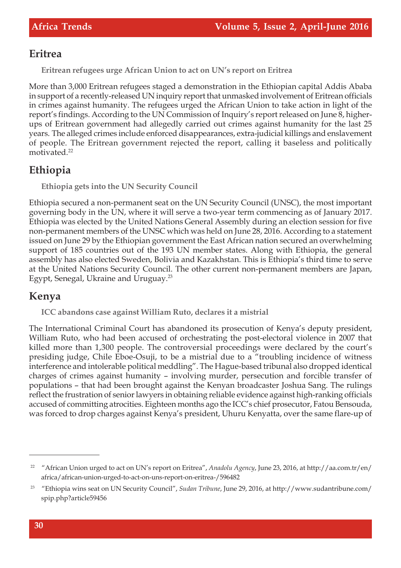#### **Eritrea**

**Eritrean refugees urge African Union to act on UN's report on Eritrea**

More than 3,000 Eritrean refugees staged a demonstration in the Ethiopian capital Addis Ababa in support of a recently-released UN inquiry report that unmasked involvement of Eritrean officials in crimes against humanity. The refugees urged the African Union to take action in light of the report's findings. According to the UN Commission of Inquiry's report released on June 8, higherups of Eritrean government had allegedly carried out crimes against humanity for the last 25 years. The alleged crimes include enforced disappearances, extra-judicial killings and enslavement of people. The Eritrean government rejected the report, calling it baseless and politically motivated.<sup>22</sup>

#### **Ethiopia**

**Ethiopia gets into the UN Security Council**

Ethiopia secured a non-permanent seat on the UN Security Council (UNSC), the most important governing body in the UN, where it will serve a two-year term commencing as of January 2017. Ethiopia was elected by the United Nations General Assembly during an election session for five non-permanent members of the UNSC which was held on June 28, 2016. According to a statement issued on June 29 by the Ethiopian government the East African nation secured an overwhelming support of 185 countries out of the 193 UN member states. Along with Ethiopia, the general assembly has also elected Sweden, Bolivia and Kazakhstan. This is Ethiopia's third time to serve at the United Nations Security Council. The other current non-permanent members are Japan, Egypt, Senegal, Ukraine and Uruguay.<sup>23</sup>

#### **Kenya**

**ICC abandons case against William Ruto, declares it a mistrial**

The International Criminal Court has abandoned its prosecution of Kenya's deputy president, William Ruto, who had been accused of orchestrating the post-electoral violence in 2007 that killed more than 1,300 people. The controversial proceedings were declared by the court's presiding judge, Chile Eboe-Osuji, to be a mistrial due to a "troubling incidence of witness interference and intolerable political meddling". The Hague-based tribunal also dropped identical charges of crimes against humanity – involving murder, persecution and forcible transfer of populations – that had been brought against the Kenyan broadcaster Joshua Sang. The rulings reflect the frustration of senior lawyers in obtaining reliable evidence against high-ranking officials accused of committing atrocities. Eighteen months ago the ICC's chief prosecutor, Fatou Bensouda, was forced to drop charges against Kenya's president, Uhuru Kenyatta, over the same flare-up of

<sup>22</sup> "African Union urged to act on UN's report on Eritrea", *Anadolu Agency*, June 23, 2016, at http://aa.com.tr/en/ africa/african-union-urged-to-act-on-uns-report-on-eritrea-/596482

<sup>23</sup> "Ethiopia wins seat on UN Security Council", *Sudan Tribune*, June 29, 2016, at http://www.sudantribune.com/ spip.php?article59456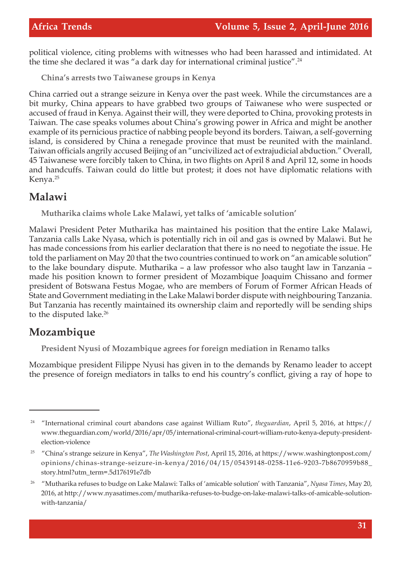political violence, citing problems with witnesses who had been harassed and intimidated. At the time she declared it was "a dark day for international criminal justice".<sup>24</sup>

**China's arrests two Taiwanese groups in Kenya**

China carried out a strange seizure in Kenya over the past week. While the circumstances are a bit murky, China appears to have grabbed two groups of Taiwanese who were suspected or accused of fraud in Kenya. Against their will, they were deported to China, provoking protests in Taiwan. The case speaks volumes about China's growing power in Africa and might be another example of its pernicious practice of nabbing people beyond its borders. Taiwan, a self-governing island, is considered by China a renegade province that must be reunited with the mainland. Taiwan officials angrily accused Beijing of an "uncivilized act of extrajudicial abduction." Overall, 45 Taiwanese were forcibly taken to China, in two flights on April 8 and April 12, some in hoods and handcuffs. Taiwan could do little but protest; it does not have diplomatic relations with Kenya.<sup>25</sup>

#### **Malawi**

**Mutharika claims whole Lake Malawi, yet talks of 'amicable solution'**

Malawi President Peter Mutharika has maintained his position that the entire Lake Malawi, Tanzania calls Lake Nyasa, which is potentially rich in oil and gas is owned by Malawi. But he has made concessions from his earlier declaration that there is no need to negotiate the issue. He told the parliament on May 20 that the two countries continued to work on "an amicable solution" to the lake boundary dispute. Mutharika – a law professor who also taught law in Tanzania – made his position known to former president of Mozambique Joaquim Chissano and former president of Botswana Festus Mogae, who are members of Forum of Former African Heads of State and Government mediating in the Lake Malawi border dispute with neighbouring Tanzania. But Tanzania has recently maintained its ownership claim and reportedly will be sending ships to the disputed lake.<sup>26</sup>

#### **Mozambique**

**President Nyusi of Mozambique agrees for foreign mediation in Renamo talks**

Mozambique president Filippe Nyusi has given in to the demands by Renamo leader to accept the presence of foreign mediators in talks to end his country's conflict, giving a ray of hope to

<sup>24</sup> "International criminal court abandons case against William Ruto", *theguardian*, April 5, 2016, at https:// www.theguardian.com/world/2016/apr/05/international-criminal-court-william-ruto-kenya-deputy-presidentelection-violence

<sup>25</sup> "China's strange seizure in Kenya", *The Washington Post*, April 15, 2016, at https://www.washingtonpost.com/ opinions/chinas-strange-seizure-in-kenya/2016/04/15/05439148-0258-11e6-9203-7b8670959b88\_ story.html?utm\_term=.5d176191e7db

<sup>26</sup> "Mutharika refuses to budge on Lake Malawi: Talks of 'amicable solution' with Tanzania", *Nyasa Times*, May 20, 2016, at http://www.nyasatimes.com/mutharika-refuses-to-budge-on-lake-malawi-talks-of-amicable-solutionwith-tanzania/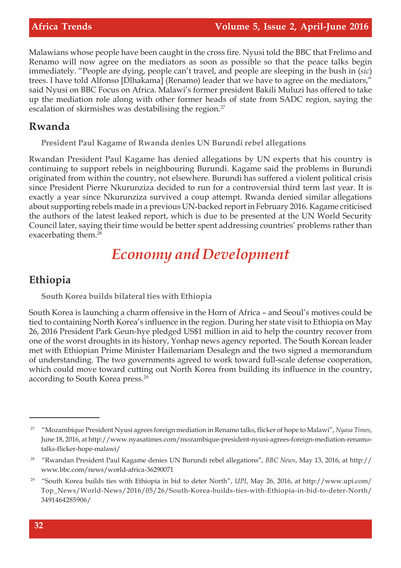Malawians whose people have been caught in the cross fire. Nyusi told the BBC that Frelimo and Renamo will now agree on the mediators as soon as possible so that the peace talks begin immediately. "People are dying, people can't travel, and people are sleeping in the bush in (*sic*) trees. I have told Alfonso [Dlhakama] (Renamo) leader that we have to agree on the mediators," said Nyusi on BBC Focus on Africa. Malawi's former president Bakili Muluzi has offered to take up the mediation role along with other former heads of state from SADC region, saying the escalation of skirmishes was destabilising the region.<sup>27</sup>

#### **Rwanda**

**President Paul Kagame of Rwanda denies UN Burundi rebel allegations**

Rwandan President Paul Kagame has denied allegations by UN experts that his country is continuing to support rebels in neighbouring Burundi. Kagame said the problems in Burundi originated from within the country, not elsewhere. Burundi has suffered a violent political crisis since President Pierre Nkurunziza decided to run for a controversial third term last year. It is exactly a year since Nkurunziza survived a coup attempt. Rwanda denied similar allegations about supporting rebels made in a previous UN-backed report in February 2016. Kagame criticised the authors of the latest leaked report, which is due to be presented at the UN World Security Council later, saying their time would be better spent addressing countries' problems rather than exacerbating them.<sup>28</sup>

# *Economy and Development*

#### **Ethiopia**

**South Korea builds bilateral ties with Ethiopia**

South Korea is launching a charm offensive in the Horn of Africa – and Seoul's motives could be tied to containing North Korea's influence in the region. During her state visit to Ethiopia on May 26, 2016 President Park Geun-hye pledged US\$1 million in aid to help the country recover from one of the worst droughts in its history, Yonhap news agency reported. The South Korean leader met with Ethiopian Prime Minister Hailemariam Desalegn and the two signed a memorandum of understanding. The two governments agreed to work toward full-scale defense cooperation, which could move toward cutting out North Korea from building its influence in the country, according to South Korea press.<sup>29</sup>

<sup>27</sup> "Mozambique President Nyusi agrees foreign mediation in Renamo talks, flicker of hope to Malawi", *Nyasa Times*, June 18, 2016, at http://www.nyasatimes.com/mozambique-president-nyusi-agrees-foreign-mediation-renamotalks-flicker-hope-malawi/

<sup>28</sup> "Rwandan President Paul Kagame denies UN Burundi rebel allegations", *BBC News*, May 13, 2016, at http:// www.bbc.com/news/world-africa-36290071

<sup>29</sup> "South Korea builds ties with Ethiopia in bid to deter North", *UPI*, May 26, 2016, at http://www.upi.com/ Top\_News/World-News/2016/05/26/South-Korea-builds-ties-with-Ethiopia-in-bid-to-deter-North/ 3491464285906/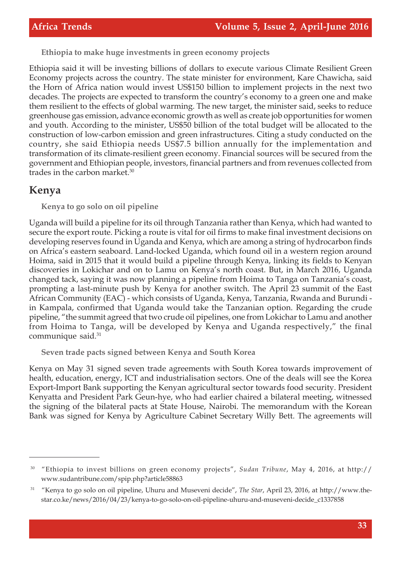**Ethiopia to make huge investments in green economy projects**

Ethiopia said it will be investing billions of dollars to execute various Climate Resilient Green Economy projects across the country. The state minister for environment, Kare Chawicha, said the Horn of Africa nation would invest US\$150 billion to implement projects in the next two decades. The projects are expected to transform the country's economy to a green one and make them resilient to the effects of global warming. The new target, the minister said, seeks to reduce greenhouse gas emission, advance economic growth as well as create job opportunities for women and youth. According to the minister, US\$50 billion of the total budget will be allocated to the construction of low-carbon emission and green infrastructures. Citing a study conducted on the country, she said Ethiopia needs US\$7.5 billion annually for the implementation and transformation of its climate-resilient green economy. Financial sources will be secured from the government and Ethiopian people, investors, financial partners and from revenues collected from trades in the carbon market.<sup>30</sup>

#### **Kenya**

**Kenya to go solo on oil pipeline**

Uganda will build a pipeline for its oil through Tanzania rather than Kenya, which had wanted to secure the export route. Picking a route is vital for oil firms to make final investment decisions on developing reserves found in Uganda and Kenya, which are among a string of hydrocarbon finds on Africa's eastern seaboard. Land-locked Uganda, which found oil in a western region around Hoima, said in 2015 that it would build a pipeline through Kenya, linking its fields to Kenyan discoveries in Lokichar and on to Lamu on Kenya's north coast. But, in March 2016, Uganda changed tack, saying it was now planning a pipeline from Hoima to Tanga on Tanzania's coast, prompting a last-minute push by Kenya for another switch. The April 23 summit of the East African Community (EAC) - which consists of Uganda, Kenya, Tanzania, Rwanda and Burundi in Kampala, confirmed that Uganda would take the Tanzanian option. Regarding the crude pipeline, "the summit agreed that two crude oil pipelines, one from Lokichar to Lamu and another from Hoima to Tanga, will be developed by Kenya and Uganda respectively," the final communique said.<sup>31</sup>

**Seven trade pacts signed between Kenya and South Korea**

Kenya on May 31 signed seven trade agreements with South Korea towards improvement of health, education, energy, ICT and industrialisation sectors. One of the deals will see the Korea Export-Import Bank supporting the Kenyan agricultural sector towards food security. President Kenyatta and President Park Geun-hye, who had earlier chaired a bilateral meeting, witnessed the signing of the bilateral pacts at State House, Nairobi. The memorandum with the Korean Bank was signed for Kenya by Agriculture Cabinet Secretary Willy Bett. The agreements will

<sup>30</sup> "Ethiopia to invest billions on green economy projects", *Sudan Tribune*, May 4, 2016, at http:// www.sudantribune.com/spip.php?article58863

<sup>31</sup> "Kenya to go solo on oil pipeline, Uhuru and Museveni decide", *The Star*, April 23, 2016, at http://www.thestar.co.ke/news/2016/04/23/kenya-to-go-solo-on-oil-pipeline-uhuru-and-museveni-decide\_c1337858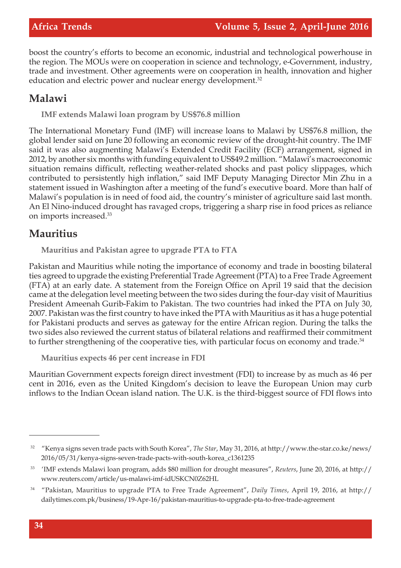boost the country's efforts to become an economic, industrial and technological powerhouse in the region. The MOUs were on cooperation in science and technology, e-Government, industry, trade and investment. Other agreements were on cooperation in health, innovation and higher education and electric power and nuclear energy development.<sup>32</sup>

#### **Malawi**

**IMF extends Malawi loan program by US\$76.8 million**

The International Monetary Fund (IMF) will increase loans to Malawi by US\$76.8 million, the global lender said on June 20 following an economic review of the drought-hit country. The IMF said it was also augmenting Malawi's Extended Credit Facility (ECF) arrangement, signed in 2012, by another six months with funding equivalent to US\$49.2 million. "Malawi's macroeconomic situation remains difficult, reflecting weather-related shocks and past policy slippages, which contributed to persistently high inflation," said IMF Deputy Managing Director Min Zhu in a statement issued in Washington after a meeting of the fund's executive board. More than half of Malawi's population is in need of food aid, the country's minister of agriculture said last month. An El Nino-induced drought has ravaged crops, triggering a sharp rise in food prices as reliance on imports increased.<sup>33</sup>

#### **Mauritius**

**Mauritius and Pakistan agree to upgrade PTA to FTA**

Pakistan and Mauritius while noting the importance of economy and trade in boosting bilateral ties agreed to upgrade the existing Preferential Trade Agreement (PTA) to a Free Trade Agreement (FTA) at an early date. A statement from the Foreign Office on April 19 said that the decision came at the delegation level meeting between the two sides during the four-day visit of Mauritius President Ameenah Gurib-Fakim to Pakistan. The two countries had inked the PTA on July 30, 2007. Pakistan was the first country to have inked the PTA with Mauritius as it has a huge potential for Pakistani products and serves as gateway for the entire African region. During the talks the two sides also reviewed the current status of bilateral relations and reaffirmed their commitment to further strengthening of the cooperative ties, with particular focus on economy and trade.<sup>34</sup>

**Mauritius expects 46 per cent increase in FDI**

Mauritian Government expects foreign direct investment (FDI) to increase by as much as 46 per cent in 2016, even as the United Kingdom's decision to leave the European Union may curb inflows to the Indian Ocean island nation. The U.K. is the third-biggest source of FDI flows into

<sup>32</sup> "Kenya signs seven trade pacts with South Korea", *The Star*, May 31, 2016, at http://www.the-star.co.ke/news/ 2016/05/31/kenya-signs-seven-trade-pacts-with-south-korea\_c1361235

<sup>33</sup> 'IMF extends Malawi loan program, adds \$80 million for drought measures", *Reuters*, June 20, 2016, at http:// www.reuters.com/article/us-malawi-imf-idUSKCN0Z62HL

<sup>34</sup> "Pakistan, Mauritius to upgrade PTA to Free Trade Agreement", *Daily Times*, April 19, 2016, at http:// dailytimes.com.pk/business/19-Apr-16/pakistan-mauritius-to-upgrade-pta-to-free-trade-agreement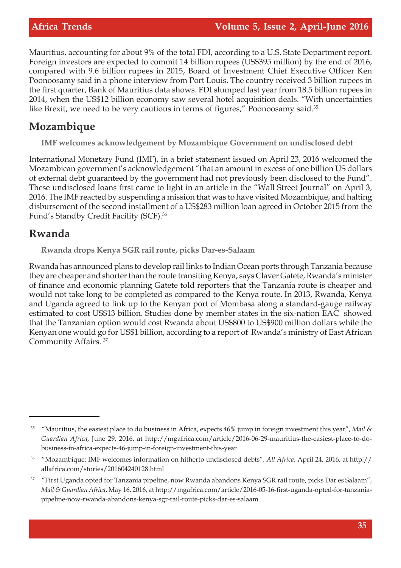Mauritius, accounting for about 9% of the total FDI, according to a U.S. State Department report. Foreign investors are expected to commit 14 billion rupees (US\$395 million) by the end of 2016, compared with 9.6 billion rupees in 2015, Board of Investment Chief Executive Officer Ken Poonoosamy said in a phone interview from Port Louis. The country received 3 billion rupees in the first quarter, Bank of Mauritius data shows. FDI slumped last year from 18.5 billion rupees in 2014, when the US\$12 billion economy saw several hotel acquisition deals. "With uncertainties like Brexit, we need to be very cautious in terms of figures," Poonoosamy said.<sup>35</sup>

## **Mozambique**

**IMF welcomes acknowledgement by Mozambique Government on undisclosed debt**

International Monetary Fund (IMF), in a brief statement issued on April 23, 2016 welcomed the Mozambican government's acknowledgement "that an amount in excess of one billion US dollars of external debt guaranteed by the government had not previously been disclosed to the Fund". These undisclosed loans first came to light in an article in the "Wall Street Journal" on April 3, 2016. The IMF reacted by suspending a mission that was to have visited Mozambique, and halting disbursement of the second installment of a US\$283 million loan agreed in October 2015 from the Fund's Standby Credit Facility (SCF).<sup>36</sup>

## **Rwanda**

**Rwanda drops Kenya SGR rail route, picks Dar-es-Salaam**

Rwanda has announced plans to develop rail links to Indian Ocean ports through Tanzania because they are cheaper and shorter than the route transiting Kenya, says Claver Gatete, Rwanda's minister of finance and economic planning Gatete told reporters that the Tanzania route is cheaper and would not take long to be completed as compared to the Kenya route. In 2013, Rwanda, Kenya and Uganda agreed to link up to the Kenyan port of Mombasa along a standard-gauge railway estimated to cost US\$13 billion. Studies done by member states in the six-nation EAC showed that the Tanzanian option would cost Rwanda about US\$800 to US\$900 million dollars while the Kenyan one would go for US\$1 billion, according to a report of Rwanda's ministry of East African Community Affairs. <sup>37</sup>

<sup>35</sup> "Mauritius, the easiest place to do business in Africa, expects 46% jump in foreign investment this year", *Mail & Guardian Africa*, June 29, 2016, at http://mgafrica.com/article/2016-06-29-mauritius-the-easiest-place-to-dobusiness-in-africa-expects-46-jump-in-foreign-investment-this-year

<sup>36</sup> "Mozambique: IMF welcomes information on hitherto undisclosed debts", *All Africa*, April 24, 2016, at http:// allafrica.com/stories/201604240128.html

<sup>37</sup> "First Uganda opted for Tanzania pipeline, now Rwanda abandons Kenya SGR rail route, picks Dar es Salaam", *Mail & Guardian Africa*, May 16, 2016, at http://mgafrica.com/article/2016-05-16-first-uganda-opted-for-tanzaniapipeline-now-rwanda-abandons-kenya-sgr-rail-route-picks-dar-es-salaam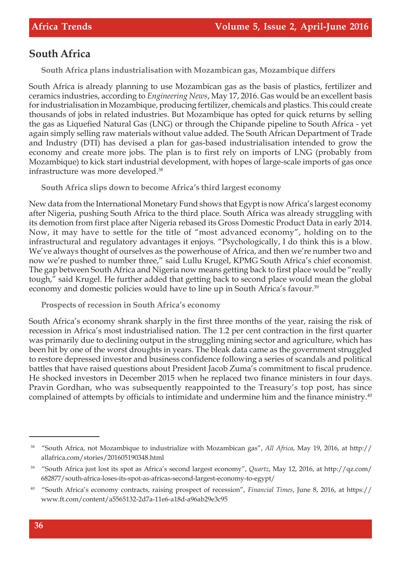#### **South Africa**

**South Africa plans industrialisation with Mozambican gas, Mozambique differs**

South Africa is already planning to use Mozambican gas as the basis of plastics, fertilizer and ceramics industries, according to *Engineering News*, May 17, 2016. Gas would be an excellent basis for industrialisation in Mozambique, producing fertilizer, chemicals and plastics. This could create thousands of jobs in related industries. But Mozambique has opted for quick returns by selling the gas as Liquefied Natural Gas (LNG) or through the Chipande pipeline to South Africa - yet again simply selling raw materials without value added. The South African Department of Trade and Industry (DTI) has devised a plan for gas-based industrialisation intended to grow the economy and create more jobs. The plan is to first rely on imports of LNG (probably from Mozambique) to kick start industrial development, with hopes of large-scale imports of gas once infrastructure was more developed.<sup>38</sup>

**South Africa slips down to become Africa's third largest economy**

New data from the International Monetary Fund shows that Egypt is now Africa's largest economy after Nigeria, pushing South Africa to the third place. South Africa was already struggling with its demotion from first place after Nigeria rebased its Gross Domestic Product Data in early 2014. Now, it may have to settle for the title of "most advanced economy", holding on to the infrastructural and regulatory advantages it enjoys. "Psychologically, I do think this is a blow. We've always thought of ourselves as the powerhouse of Africa, and then we're number two and now we're pushed to number three," said Lullu Krugel, KPMG South Africa's chief economist. The gap between South Africa and Nigeria now means getting back to first place would be "really tough," said Krugel. He further added that getting back to second place would mean the global economy and domestic policies would have to line up in South Africa's favour.<sup>39</sup>

**Prospects of recession in South Africa's economy**

South Africa's economy shrank sharply in the first three months of the year, raising the risk of recession in Africa's most industrialised nation. The 1.2 per cent contraction in the first quarter was primarily due to declining output in the struggling mining sector and agriculture, which has been hit by one of the worst droughts in years. The bleak data came as the government struggled to restore depressed investor and business confidence following a series of scandals and political battles that have raised questions about President Jacob Zuma's commitment to fiscal prudence. He shocked investors in December 2015 when he replaced two finance ministers in four days. Pravin Gordhan, who was subsequently reappointed to the Treasury's top post, has since complained of attempts by officials to intimidate and undermine him and the finance ministry.<sup>40</sup>

<sup>38</sup> "South Africa, not Mozambique to industrialize with Mozambican gas", *All Africa*, May 19, 2016, at http:// allafrica.com/stories/201605190348.html

<sup>39</sup> "South Africa just lost its spot as Africa's second largest economy", *Quartz*, May 12, 2016, at http://qz.com/ 682877/south-africa-loses-its-spot-as-africas-second-largest-economy-to-egypt/

<sup>40</sup> "South Africa's economy contracts, raising prospect of recession", *Financial Times*, June 8, 2016, at https:// www.ft.com/content/a5565132-2d7a-11e6-a18d-a96ab29e3c95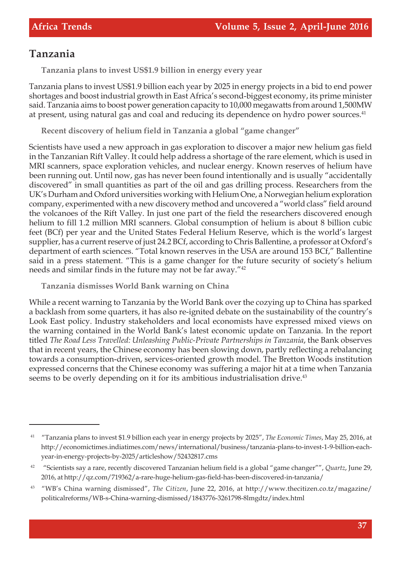#### **Tanzania**

**Tanzania plans to invest US\$1.9 billion in energy every year**

Tanzania plans to invest US\$1.9 billion each year by 2025 in energy projects in a bid to end power shortages and boost industrial growth in East Africa's second-biggest economy, its prime minister said. Tanzania aims to boost power generation capacity to 10,000 megawatts from around 1,500MW at present, using natural gas and coal and reducing its dependence on hydro power sources.<sup>41</sup>

**Recent discovery of helium field in Tanzania a global "game changer"**

Scientists have used a new approach in gas exploration to discover a major new helium gas field in the Tanzanian Rift Valley. It could help address a shortage of the rare element, which is used in MRI scanners, space exploration vehicles, and nuclear energy. Known reserves of helium have been running out. Until now, gas has never been found intentionally and is usually "accidentally discovered" in small quantities as part of the oil and gas drilling process. Researchers from the UK's Durham and Oxford universities working with Helium One, a Norwegian helium exploration company, experimented with a new discovery method and uncovered a "world class" field around the volcanoes of the Rift Valley. In just one part of the field the researchers discovered enough helium to fill 1.2 million MRI scanners. Global consumption of helium is about 8 billion cubic feet (BCf) per year and the United States Federal Helium Reserve, which is the world's largest supplier, has a current reserve of just 24.2 BCf, according to Chris Ballentine, a professor at Oxford's department of earth sciences. "Total known reserves in the USA are around 153 BCf," Ballentine said in a press statement. "This is a game changer for the future security of society's helium needs and similar finds in the future may not be far away."<sup>42</sup>

**Tanzania dismisses World Bank warning on China**

While a recent warning to Tanzania by the World Bank over the cozying up to China has sparked a backlash from some quarters, it has also re-ignited debate on the sustainability of the country's Look East policy. Industry stakeholders and local economists have expressed mixed views on the warning contained in the World Bank's latest economic update on Tanzania. In the report titled *The Road Less Travelled: Unleashing Public-Private Partnerships in Tanzania*, the Bank observes that in recent years, the Chinese economy has been slowing down, partly reflecting a rebalancing towards a consumption-driven, services-oriented growth model. The Bretton Woods institution expressed concerns that the Chinese economy was suffering a major hit at a time when Tanzania seems to be overly depending on it for its ambitious industrialisation drive.<sup>43</sup>

<sup>41</sup> "Tanzania plans to invest \$1.9 billion each year in energy projects by 2025", *The Economic Times*, May 25, 2016, at http://economictimes.indiatimes.com/news/international/business/tanzania-plans-to-invest-1-9-billion-eachyear-in-energy-projects-by-2025/articleshow/52432817.cms

<sup>42</sup> "Scientists say a rare, recently discovered Tanzanian helium field is a global "game changer"", *Quartz*, June 29, 2016, at http://qz.com/719362/a-rare-huge-helium-gas-field-has-been-discovered-in-tanzania/

<sup>43</sup> "WB's China warning dismissed", *The Citizen*, June 22, 2016, at http://www.thecitizen.co.tz/magazine/ politicalreforms/WB-s-China-warning-dismissed/1843776-3261798-8lmgdtz/index.html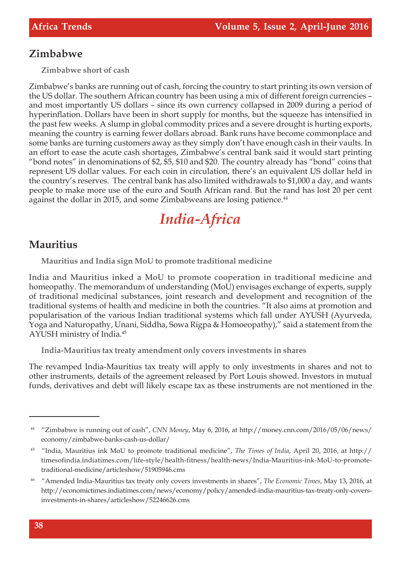#### **Zimbabwe**

**Zimbabwe short of cash**

Zimbabwe's banks are running out of cash, forcing the country to start printing its own version of the US dollar. The southern African country has been using a mix of different foreign currencies – and most importantly US dollars – since its own currency collapsed in 2009 during a period of hyperinflation. Dollars have been in short supply for months, but the squeeze has intensified in the past few weeks. A slump in global commodity prices and a severe drought is hurting exports, meaning the country is earning fewer dollars abroad. Bank runs have become commonplace and some banks are turning customers away as they simply don't have enough cash in their vaults. In an effort to ease the acute cash shortages, Zimbabwe's central bank said it would start printing "bond notes" in denominations of \$2, \$5, \$10 and \$20. The country already has "bond" coins that represent US dollar values. For each coin in circulation, there's an equivalent US dollar held in the country's reserves. The central bank has also limited withdrawals to \$1,000 a day, and wants people to make more use of the euro and South African rand. But the rand has lost 20 per cent against the dollar in 2015, and some Zimbabweans are losing patience.<sup>44</sup>

# *India-Africa*

#### **Mauritius**

**Mauritius and India sign MoU to promote traditional medicine**

India and Mauritius inked a MoU to promote cooperation in traditional medicine and homeopathy. The memorandum of understanding (MoU) envisages exchange of experts, supply of traditional medicinal substances, joint research and development and recognition of the traditional systems of health and medicine in both the countries. "It also aims at promotion and popularisation of the various Indian traditional systems which fall under AYUSH (Ayurveda, Yoga and Naturopathy, Unani, Siddha, Sowa Rigpa & Homoeopathy)," said a statement from the AYUSH ministry of India.<sup>45</sup>

**India-Mauritius tax treaty amendment only covers investments in shares**

The revamped India-Mauritius tax treaty will apply to only investments in shares and not to other instruments, details of the agreement released by Port Louis showed. Investors in mutual funds, derivatives and debt will likely escape tax as these instruments are not mentioned in the

<sup>44</sup> "Zimbabwe is running out of cash", *CNN Money*, May 6, 2016, at http://money.cnn.com/2016/05/06/news/ economy/zimbabwe-banks-cash-us-dollar/

<sup>45</sup> "India, Mauritius ink MoU to promote traditional medicine", *The Times of India*, April 20, 2016, at http:// timesofindia.indiatimes.com/life-style/health-fitness/health-news/India-Mauritius-ink-MoU-to-promotetraditional-medicine/articleshow/51905946.cms

<sup>46</sup> "Amended India-Mauritius tax treaty only covers investments in shares", *The Economic Times*, May 13, 2016, at http://economictimes.indiatimes.com/news/economy/policy/amended-india-mauritius-tax-treaty-only-coversinvestments-in-shares/articleshow/52246626.cms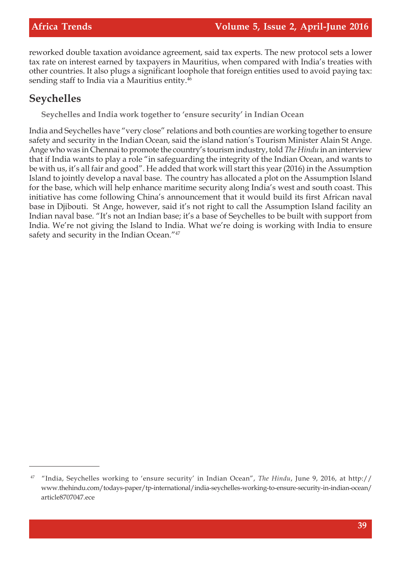reworked double taxation avoidance agreement, said tax experts. The new protocol sets a lower tax rate on interest earned by taxpayers in Mauritius, when compared with India's treaties with other countries. It also plugs a significant loophole that foreign entities used to avoid paying tax: sending staff to India via a Mauritius entity.<sup>46</sup>

#### **Seychelles**

**Seychelles and India work together to 'ensure security' in Indian Ocean**

India and Seychelles have "very close" relations and both counties are working together to ensure safety and security in the Indian Ocean, said the island nation's Tourism Minister Alain St Ange. Ange who was in Chennai to promote the country's tourism industry, told *The Hindu* in an interview that if India wants to play a role "in safeguarding the integrity of the Indian Ocean, and wants to be with us, it's all fair and good". He added that work will start this year (2016) in the Assumption Island to jointly develop a naval base. The country has allocated a plot on the Assumption Island for the base, which will help enhance maritime security along India's west and south coast. This initiative has come following China's announcement that it would build its first African naval base in Djibouti. St Ange, however, said it's not right to call the Assumption Island facility an Indian naval base. "It's not an Indian base; it's a base of Seychelles to be built with support from India. We're not giving the Island to India. What we're doing is working with India to ensure safety and security in the Indian Ocean."<sup>47</sup>

<sup>47</sup> "India, Seychelles working to 'ensure security' in Indian Ocean", *The Hindu*, June 9, 2016, at http:// www.thehindu.com/todays-paper/tp-international/india-seychelles-working-to-ensure-security-in-indian-ocean/ article8707047.ece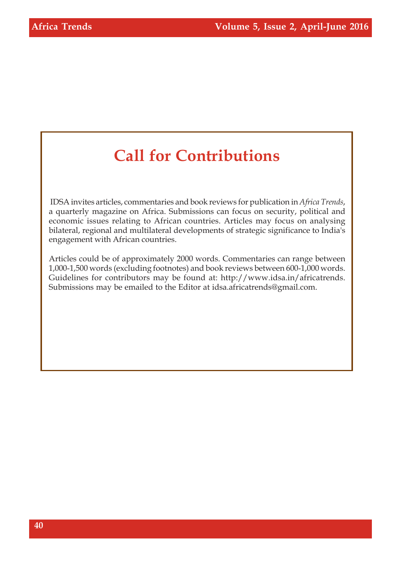# **Call for Contributions**

 IDSA invites articles, commentaries and book reviews for publication in *Africa Trends*, a quarterly magazine on Africa. Submissions can focus on security, political and economic issues relating to African countries. Articles may focus on analysing bilateral, regional and multilateral developments of strategic significance to India's engagement with African countries.

Articles could be of approximately 2000 words. Commentaries can range between 1,000-1,500 words (excluding footnotes) and book reviews between 600-1,000 words. Guidelines for contributors may be found at: http://www.idsa.in/africatrends. Submissions may be emailed to the Editor at idsa.africatrends@gmail.com.